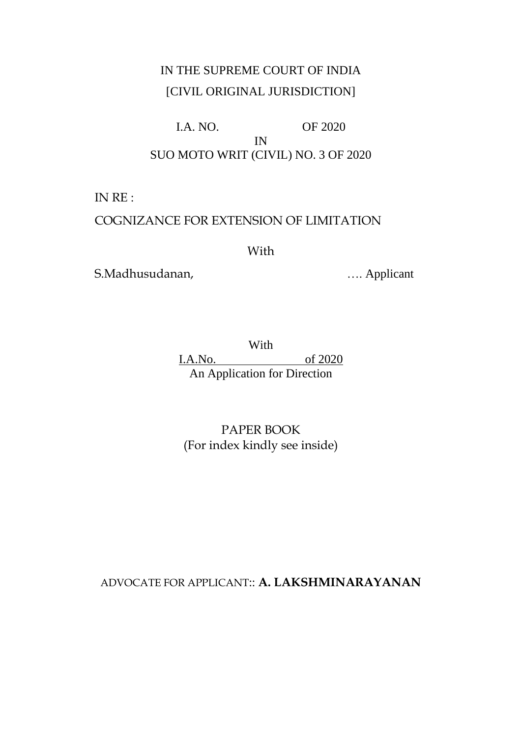# IN THE SUPREME COURT OF INDIA [CIVIL ORIGINAL JURISDICTION]

# I.A. NO. OF 2020 IN SUO MOTO WRIT (CIVIL) NO. 3 OF 2020

IN RE :

# COGNIZANCE FOR EXTENSION OF LIMITATION

With

S.Madhusudanan, menyebabkan menyebabkan menyebabkan menyebabkan menyebabkan menyebabkan menyebabkan menyebabkan menyebabkan menyebabkan menyebabkan menyebabkan menyebabkan menyebabkan menyebabkan menyebabkan menyebabkan me

With I.A.No. of 2020 An Application for Direction

PAPER BOOK (For index kindly see inside)

ADVOCATE FOR APPLICANT:: **A. LAKSHMINARAYANAN**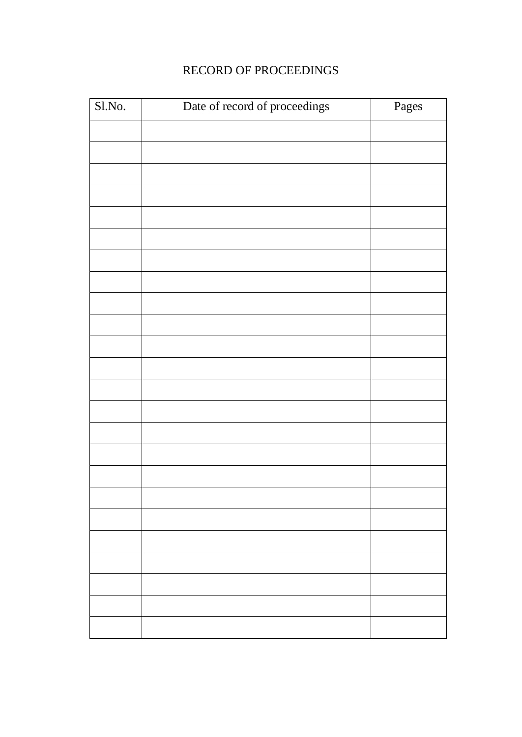# RECORD OF PROCEEDINGS

| Sl.No. | Date of record of proceedings | Pages |
|--------|-------------------------------|-------|
|        |                               |       |
|        |                               |       |
|        |                               |       |
|        |                               |       |
|        |                               |       |
|        |                               |       |
|        |                               |       |
|        |                               |       |
|        |                               |       |
|        |                               |       |
|        |                               |       |
|        |                               |       |
|        |                               |       |
|        |                               |       |
|        |                               |       |
|        |                               |       |
|        |                               |       |
|        |                               |       |
|        |                               |       |
|        |                               |       |
|        |                               |       |
|        |                               |       |
|        |                               |       |
|        |                               |       |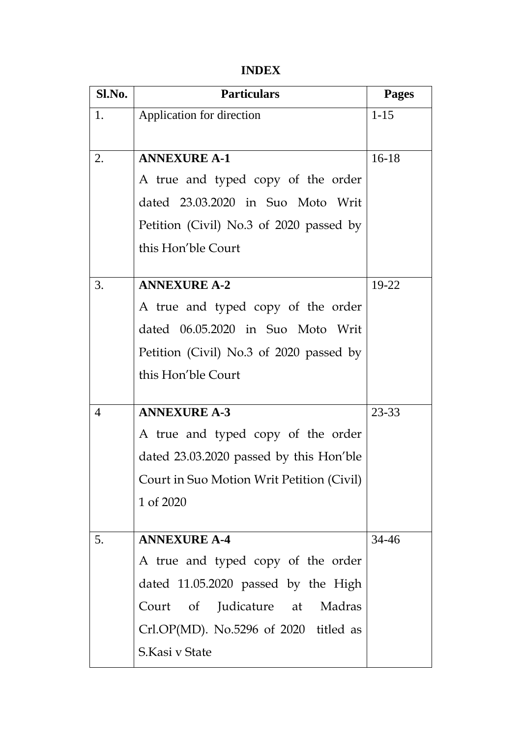# **INDEX**

| Sl.No.         | <b>Particulars</b>                        | <b>Pages</b> |
|----------------|-------------------------------------------|--------------|
| 1.             | Application for direction                 | $1-15$       |
|                |                                           |              |
| 2.             | <b>ANNEXURE A-1</b>                       | $16-18$      |
|                | A true and typed copy of the order        |              |
|                | dated 23.03.2020 in Suo Moto Writ         |              |
|                | Petition (Civil) No.3 of 2020 passed by   |              |
|                | this Hon'ble Court                        |              |
|                |                                           |              |
| 3.             | <b>ANNEXURE A-2</b>                       | 19-22        |
|                | A true and typed copy of the order        |              |
|                | dated 06.05.2020 in Suo Moto Writ         |              |
|                | Petition (Civil) No.3 of 2020 passed by   |              |
|                | this Hon'ble Court                        |              |
|                |                                           |              |
| $\overline{4}$ | <b>ANNEXURE A-3</b>                       | 23-33        |
|                | A true and typed copy of the order        |              |
|                | dated 23.03.2020 passed by this Hon'ble   |              |
|                | Court in Suo Motion Writ Petition (Civil) |              |
|                | 1 of 2020                                 |              |
|                | <b>ANNEXURE A-4</b>                       |              |
| 5.             |                                           | 34-46        |
|                | A true and typed copy of the order        |              |
|                | dated 11.05.2020 passed by the High       |              |
|                | Judicature at Madras<br>Court of          |              |
|                | Crl.OP(MD). No.5296 of 2020 titled as     |              |
|                | S.Kasi v State                            |              |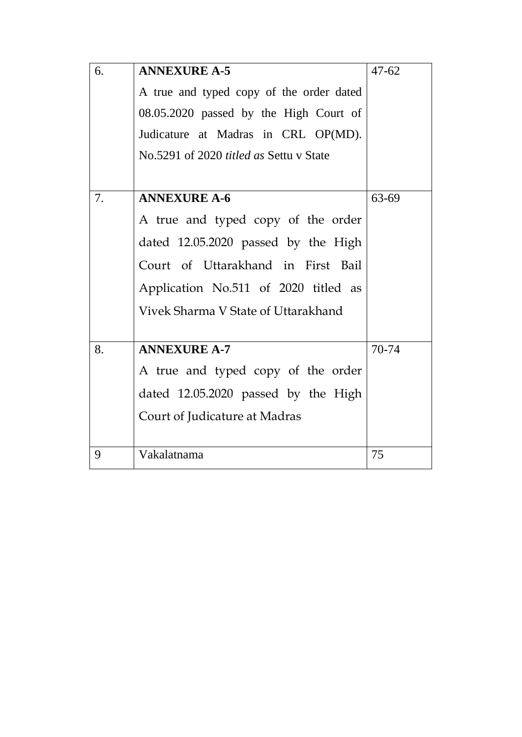| 6. | <b>ANNEXURE A-5</b>                            | $47 - 62$ |
|----|------------------------------------------------|-----------|
|    | A true and typed copy of the order dated       |           |
|    | 08.05.2020 passed by the High Court of         |           |
|    | Judicature at Madras in CRL OP(MD).            |           |
|    | No.5291 of 2020 <i>titled as</i> Settu v State |           |
|    |                                                |           |
| 7. | <b>ANNEXURE A-6</b>                            | 63-69     |
|    | A true and typed copy of the order             |           |
|    | dated 12.05.2020 passed by the High            |           |
|    | Court of Uttarakhand in First Bail             |           |
|    | Application No.511 of 2020 titled as           |           |
|    | Vivek Sharma V State of Uttarakhand            |           |
|    |                                                |           |
| 8. | <b>ANNEXURE A-7</b>                            | 70-74     |
|    | A true and typed copy of the order             |           |
|    | dated 12.05.2020 passed by the High            |           |
|    | Court of Judicature at Madras                  |           |
|    |                                                |           |
| 9  | Vakalatnama                                    | 75        |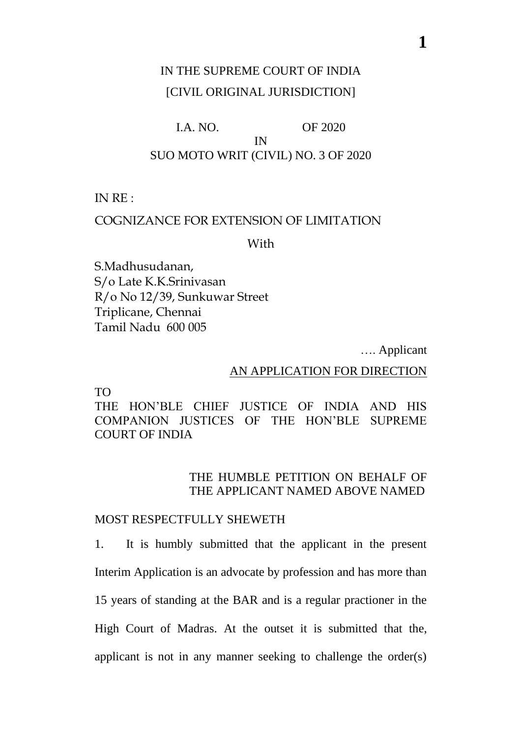# IN THE SUPREME COURT OF INDIA [CIVIL ORIGINAL JURISDICTION]

# I.A. NO. OF 2020 IN SUO MOTO WRIT (CIVIL) NO. 3 OF 2020

IN RE :

# COGNIZANCE FOR EXTENSION OF LIMITATION

With

S.Madhusudanan, S/o Late K.K.Srinivasan R/o No 12/39, Sunkuwar Street Triplicane, Chennai Tamil Nadu 600 005

…. Applicant

### AN APPLICATION FOR DIRECTION

TO

THE HON'BLE CHIEF JUSTICE OF INDIA AND HIS COMPANION JUSTICES OF THE HON'BLE SUPREME COURT OF INDIA

# THE HUMBLE PETITION ON BEHALF OF THE APPLICANT NAMED ABOVE NAMED

### MOST RESPECTFULLY SHEWETH

1. It is humbly submitted that the applicant in the present Interim Application is an advocate by profession and has more than 15 years of standing at the BAR and is a regular practioner in the High Court of Madras. At the outset it is submitted that the, applicant is not in any manner seeking to challenge the order(s)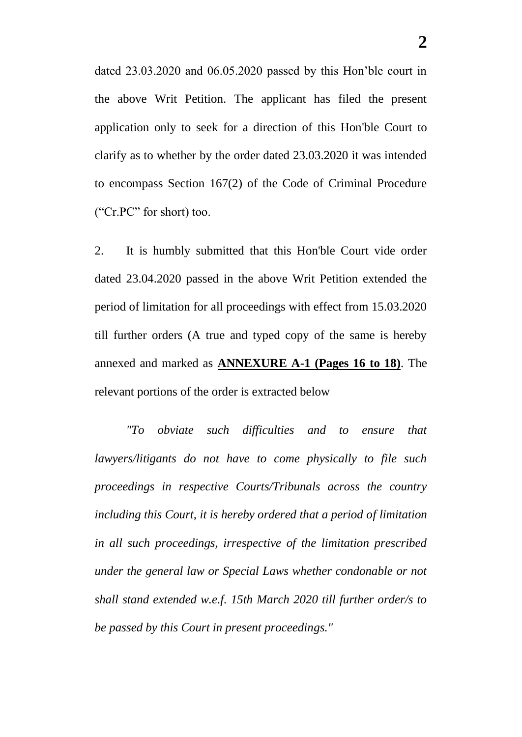dated 23.03.2020 and 06.05.2020 passed by this Hon'ble court in the above Writ Petition. The applicant has filed the present application only to seek for a direction of this Hon'ble Court to clarify as to whether by the order dated 23.03.2020 it was intended to encompass Section 167(2) of the Code of Criminal Procedure ("Cr.PC" for short) too.

2. It is humbly submitted that this Hon'ble Court vide order dated 23.04.2020 passed in the above Writ Petition extended the period of limitation for all proceedings with effect from 15.03.2020 till further orders (A true and typed copy of the same is hereby annexed and marked as **ANNEXURE A-1 (Pages 16 to 18)**. The relevant portions of the order is extracted below

*"To obviate such difficulties and to ensure that lawyers/litigants do not have to come physically to file such proceedings in respective Courts/Tribunals across the country including this Court, it is hereby ordered that a period of limitation in all such proceedings, irrespective of the limitation prescribed under the general law or Special Laws whether condonable or not shall stand extended w.e.f. 15th March 2020 till further order/s to be passed by this Court in present proceedings."*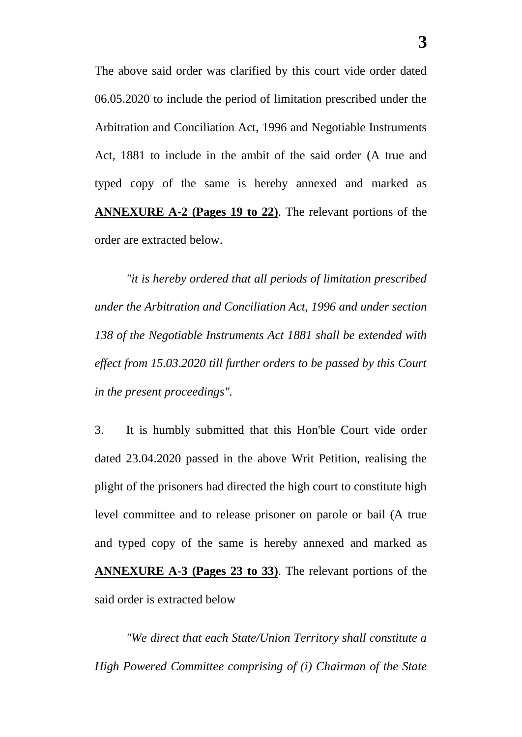The above said order was clarified by this court vide order dated 06.05.2020 to include the period of limitation prescribed under the Arbitration and Conciliation Act, 1996 and Negotiable Instruments Act, 1881 to include in the ambit of the said order (A true and typed copy of the same is hereby annexed and marked as **ANNEXURE A-2 (Pages 19 to 22)**. The relevant portions of the order are extracted below.

*"it is hereby ordered that all periods of limitation prescribed under the Arbitration and Conciliation Act, 1996 and under section 138 of the Negotiable Instruments Act 1881 shall be extended with effect from 15.03.2020 till further orders to be passed by this Court in the present proceedings".*

3. It is humbly submitted that this Hon'ble Court vide order dated 23.04.2020 passed in the above Writ Petition, realising the plight of the prisoners had directed the high court to constitute high level committee and to release prisoner on parole or bail (A true and typed copy of the same is hereby annexed and marked as **ANNEXURE A-3 (Pages 23 to 33)**. The relevant portions of the said order is extracted below

*"We direct that each State/Union Territory shall constitute a High Powered Committee comprising of (i) Chairman of the State*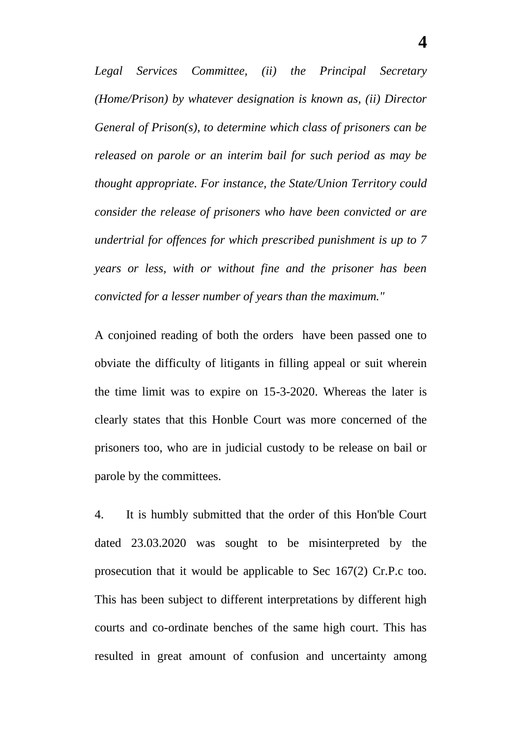*Legal Services Committee, (ii) the Principal Secretary (Home/Prison) by whatever designation is known as, (ii) Director General of Prison(s), to determine which class of prisoners can be released on parole or an interim bail for such period as may be thought appropriate. For instance, the State/Union Territory could consider the release of prisoners who have been convicted or are undertrial for offences for which prescribed punishment is up to 7 years or less, with or without fine and the prisoner has been convicted for a lesser number of years than the maximum."*

A conjoined reading of both the orders have been passed one to obviate the difficulty of litigants in filling appeal or suit wherein the time limit was to expire on 15-3-2020. Whereas the later is clearly states that this Honble Court was more concerned of the prisoners too, who are in judicial custody to be release on bail or parole by the committees.

4. It is humbly submitted that the order of this Hon'ble Court dated 23.03.2020 was sought to be misinterpreted by the prosecution that it would be applicable to Sec 167(2) Cr.P.c too. This has been subject to different interpretations by different high courts and co-ordinate benches of the same high court. This has resulted in great amount of confusion and uncertainty among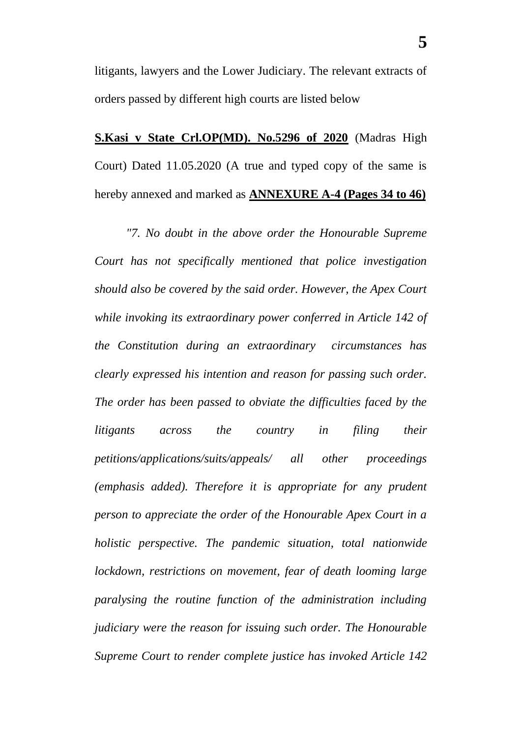litigants, lawyers and the Lower Judiciary. The relevant extracts of orders passed by different high courts are listed below

**S.Kasi v State Crl.OP(MD). No.5296 of 2020** (Madras High Court) Dated 11.05.2020 (A true and typed copy of the same is hereby annexed and marked as **ANNEXURE A-4 (Pages 34 to 46)**

*"7. No doubt in the above order the Honourable Supreme Court has not specifically mentioned that police investigation should also be covered by the said order. However, the Apex Court while invoking its extraordinary power conferred in Article 142 of the Constitution during an extraordinary circumstances has clearly expressed his intention and reason for passing such order. The order has been passed to obviate the difficulties faced by the litigants across the country in filing their petitions/applications/suits/appeals/ all other proceedings (emphasis added). Therefore it is appropriate for any prudent person to appreciate the order of the Honourable Apex Court in a holistic perspective. The pandemic situation, total nationwide lockdown, restrictions on movement, fear of death looming large paralysing the routine function of the administration including judiciary were the reason for issuing such order. The Honourable Supreme Court to render complete justice has invoked Article 142*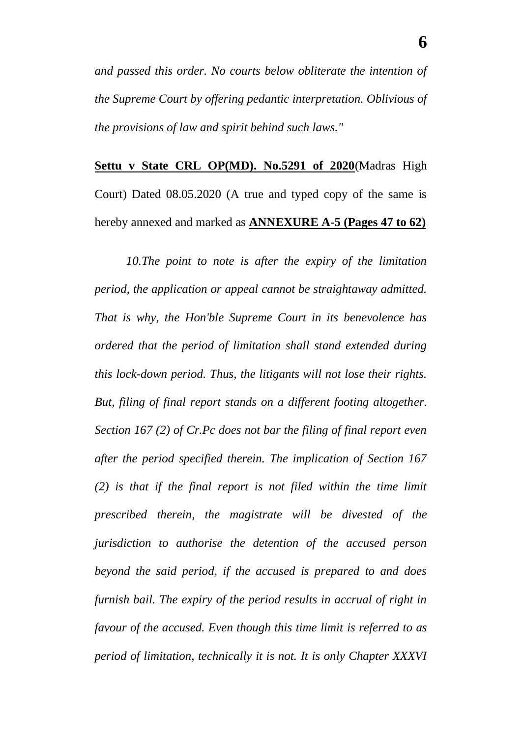*and passed this order. No courts below obliterate the intention of the Supreme Court by offering pedantic interpretation. Oblivious of the provisions of law and spirit behind such laws."*

**Settu v State CRL OP(MD). No.5291 of 2020**(Madras High Court) Dated 08.05.2020 (A true and typed copy of the same is hereby annexed and marked as **ANNEXURE A-5 (Pages 47 to 62)**

*10.The point to note is after the expiry of the limitation period, the application or appeal cannot be straightaway admitted. That is why, the Hon'ble Supreme Court in its benevolence has ordered that the period of limitation shall stand extended during this lock-down period. Thus, the litigants will not lose their rights. But, filing of final report stands on a different footing altogether. Section 167 (2) of Cr.Pc does not bar the filing of final report even after the period specified therein. The implication of Section 167 (2) is that if the final report is not filed within the time limit prescribed therein, the magistrate will be divested of the jurisdiction to authorise the detention of the accused person beyond the said period, if the accused is prepared to and does furnish bail. The expiry of the period results in accrual of right in favour of the accused. Even though this time limit is referred to as period of limitation, technically it is not. It is only Chapter XXXVI*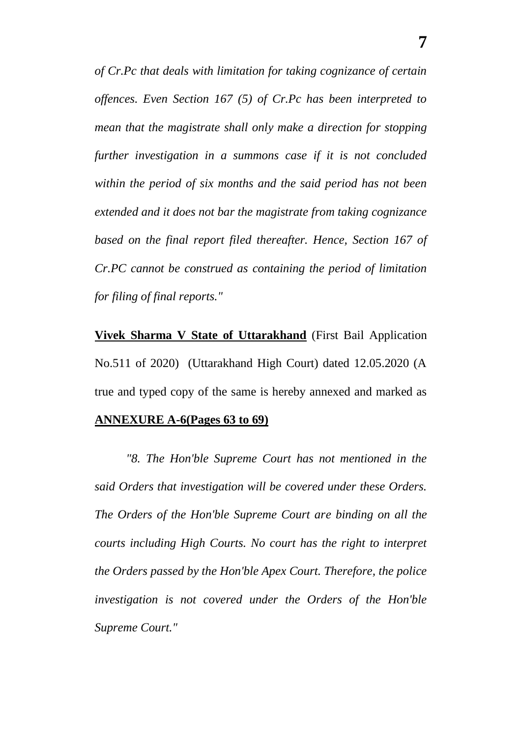*of Cr.Pc that deals with limitation for taking cognizance of certain offences. Even Section 167 (5) of Cr.Pc has been interpreted to mean that the magistrate shall only make a direction for stopping further investigation in a summons case if it is not concluded within the period of six months and the said period has not been extended and it does not bar the magistrate from taking cognizance based on the final report filed thereafter. Hence, Section 167 of Cr.PC cannot be construed as containing the period of limitation for filing of final reports."*

**<u>Vivek Sharma V State of Uttarakhand</u>** (First Bail Application No.511 of 2020) (Uttarakhand High Court) dated 12.05.2020 (A true and typed copy of the same is hereby annexed and marked as

#### **ANNEXURE A-6(Pages 63 to 69)**

*"8. The Hon'ble Supreme Court has not mentioned in the said Orders that investigation will be covered under these Orders. The Orders of the Hon'ble Supreme Court are binding on all the courts including High Courts. No court has the right to interpret the Orders passed by the Hon'ble Apex Court. Therefore, the police investigation is not covered under the Orders of the Hon'ble Supreme Court."*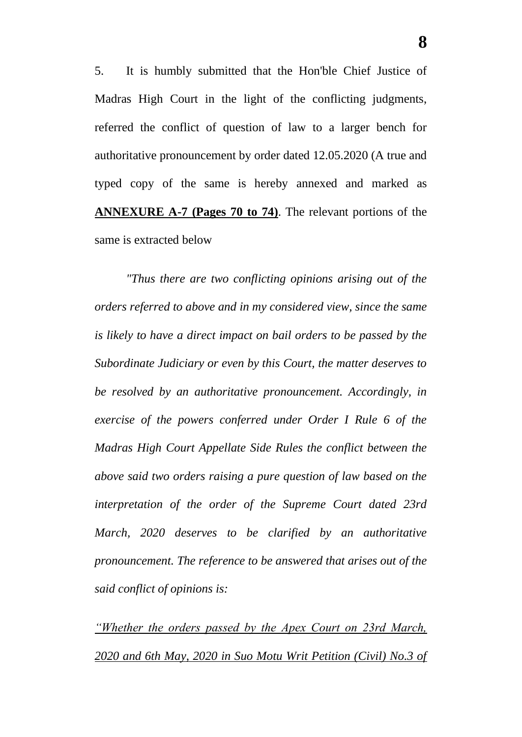5. It is humbly submitted that the Hon'ble Chief Justice of Madras High Court in the light of the conflicting judgments, referred the conflict of question of law to a larger bench for authoritative pronouncement by order dated 12.05.2020 (A true and typed copy of the same is hereby annexed and marked as **ANNEXURE A-7 (Pages 70 to 74)**. The relevant portions of the same is extracted below

*"Thus there are two conflicting opinions arising out of the orders referred to above and in my considered view, since the same is likely to have a direct impact on bail orders to be passed by the Subordinate Judiciary or even by this Court, the matter deserves to be resolved by an authoritative pronouncement. Accordingly, in exercise of the powers conferred under Order I Rule 6 of the Madras High Court Appellate Side Rules the conflict between the above said two orders raising a pure question of law based on the interpretation of the order of the Supreme Court dated 23rd March, 2020 deserves to be clarified by an authoritative pronouncement. The reference to be answered that arises out of the said conflict of opinions is:* 

*"Whether the orders passed by the Apex Court on 23rd March, 2020 and 6th May, 2020 in Suo Motu Writ Petition (Civil) No.3 of*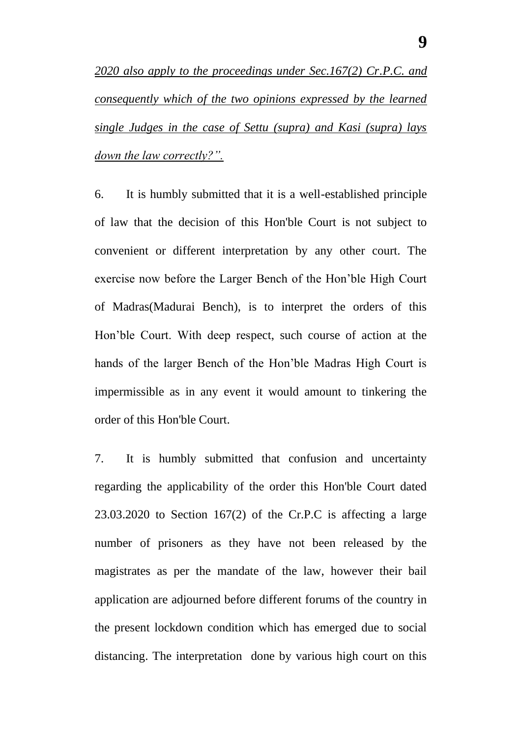*2020 also apply to the proceedings under Sec.167(2) Cr.P.C. and consequently which of the two opinions expressed by the learned single Judges in the case of Settu (supra) and Kasi (supra) lays down the law correctly?".*

6. It is humbly submitted that it is a well-established principle of law that the decision of this Hon'ble Court is not subject to convenient or different interpretation by any other court. The exercise now before the Larger Bench of the Hon'ble High Court of Madras(Madurai Bench), is to interpret the orders of this Hon'ble Court. With deep respect, such course of action at the hands of the larger Bench of the Hon'ble Madras High Court is impermissible as in any event it would amount to tinkering the order of this Hon'ble Court.

7. It is humbly submitted that confusion and uncertainty regarding the applicability of the order this Hon'ble Court dated 23.03.2020 to Section 167(2) of the Cr.P.C is affecting a large number of prisoners as they have not been released by the magistrates as per the mandate of the law, however their bail application are adjourned before different forums of the country in the present lockdown condition which has emerged due to social distancing. The interpretation done by various high court on this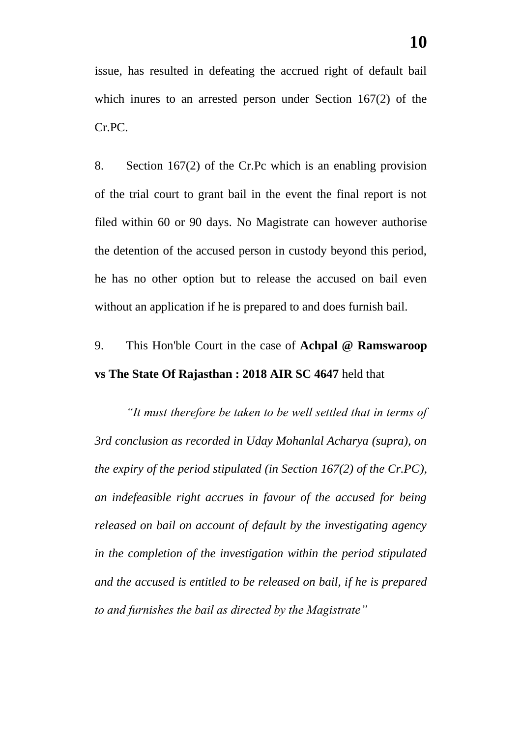issue, has resulted in defeating the accrued right of default bail which inures to an arrested person under Section 167(2) of the Cr.PC.

8. Section 167(2) of the Cr.Pc which is an enabling provision of the trial court to grant bail in the event the final report is not filed within 60 or 90 days. No Magistrate can however authorise the detention of the accused person in custody beyond this period, he has no other option but to release the accused on bail even without an application if he is prepared to and does furnish bail.

# 9. This Hon'ble Court in the case of **Achpal @ Ramswaroop vs The State Of Rajasthan : 2018 AIR SC 4647** held that

*"It must therefore be taken to be well settled that in terms of 3rd conclusion as recorded in Uday Mohanlal Acharya (supra), on the expiry of the period stipulated (in Section 167(2) of the Cr.PC), an indefeasible right accrues in favour of the accused for being released on bail on account of default by the investigating agency in the completion of the investigation within the period stipulated and the accused is entitled to be released on bail, if he is prepared to and furnishes the bail as directed by the Magistrate"*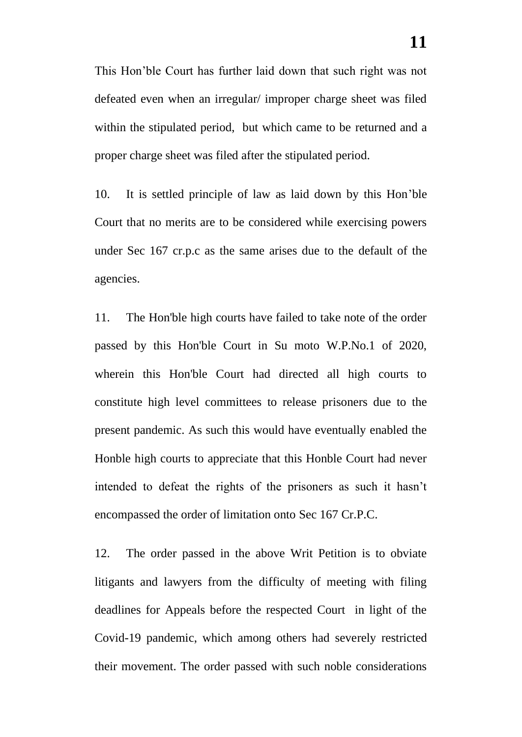This Hon'ble Court has further laid down that such right was not defeated even when an irregular/ improper charge sheet was filed within the stipulated period, but which came to be returned and a proper charge sheet was filed after the stipulated period.

10. It is settled principle of law as laid down by this Hon'ble Court that no merits are to be considered while exercising powers under Sec 167 cr.p.c as the same arises due to the default of the agencies.

11. The Hon'ble high courts have failed to take note of the order passed by this Hon'ble Court in Su moto W.P.No.1 of 2020, wherein this Hon'ble Court had directed all high courts to constitute high level committees to release prisoners due to the present pandemic. As such this would have eventually enabled the Honble high courts to appreciate that this Honble Court had never intended to defeat the rights of the prisoners as such it hasn't encompassed the order of limitation onto Sec 167 Cr.P.C.

12. The order passed in the above Writ Petition is to obviate litigants and lawyers from the difficulty of meeting with filing deadlines for Appeals before the respected Court in light of the Covid-19 pandemic, which among others had severely restricted their movement. The order passed with such noble considerations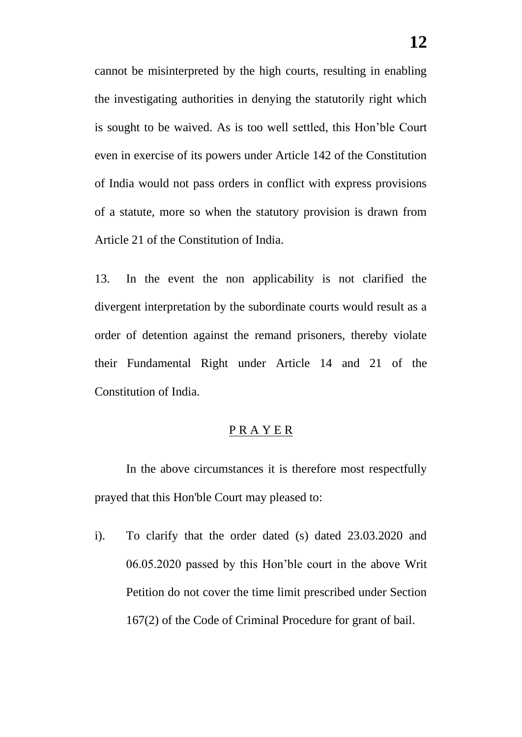cannot be misinterpreted by the high courts, resulting in enabling the investigating authorities in denying the statutorily right which is sought to be waived. As is too well settled, this Hon'ble Court even in exercise of its powers under Article 142 of the Constitution of India would not pass orders in conflict with express provisions of a statute, more so when the statutory provision is drawn from Article 21 of the Constitution of India.

13. In the event the non applicability is not clarified the divergent interpretation by the subordinate courts would result as a order of detention against the remand prisoners, thereby violate their Fundamental Right under Article 14 and 21 of the Constitution of India.

#### P R A Y E R

In the above circumstances it is therefore most respectfully prayed that this Hon'ble Court may pleased to:

i). To clarify that the order dated (s) dated 23.03.2020 and 06.05.2020 passed by this Hon'ble court in the above Writ Petition do not cover the time limit prescribed under Section 167(2) of the Code of Criminal Procedure for grant of bail.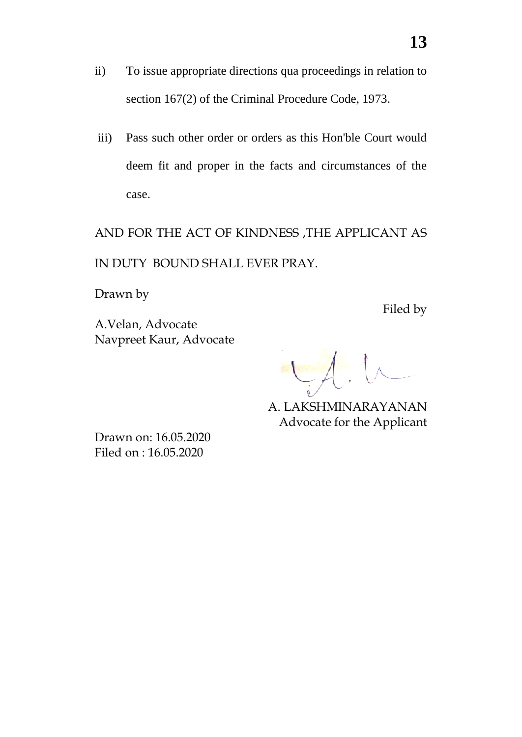- ii) To issue appropriate directions qua proceedings in relation to section 167(2) of the Criminal Procedure Code, 1973.
- iii) Pass such other order or orders as this Hon'ble Court would deem fit and proper in the facts and circumstances of the case.

AND FOR THE ACT OF KINDNESS ,THE APPLICANT AS IN DUTY BOUND SHALL EVER PRAY.

Drawn by

A.Velan, Advocate Navpreet Kaur, Advocate Filed by

A. LAKSHMINARAYANAN Advocate for the Applicant

Drawn on: 16.05.2020 Filed on : 16.05.2020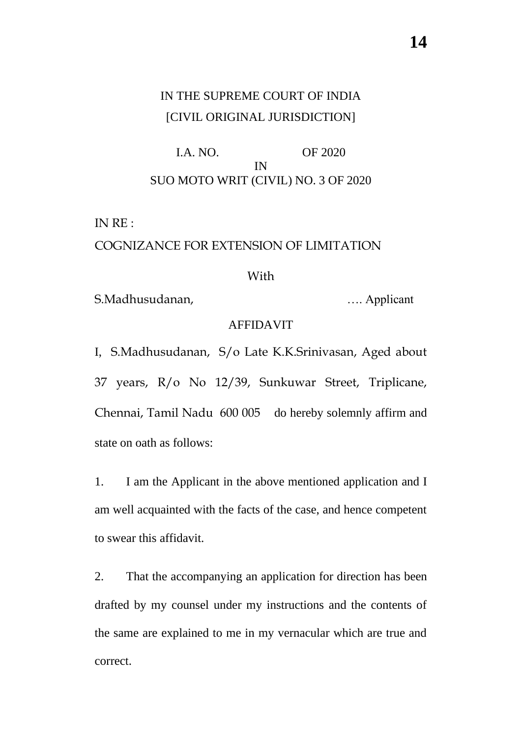# IN THE SUPREME COURT OF INDIA [CIVIL ORIGINAL JURISDICTION]

I.A. NO. OF 2020 IN SUO MOTO WRIT (CIVIL) NO. 3 OF 2020

IN RE :

### COGNIZANCE FOR EXTENSION OF LIMITATION

#### With

S.Madhusudanan, menyebabkan menyebabkan menyebabkan menyebabkan menyebabkan menyebabkan menyebabkan menyebabkan menyebabkan menyebabkan menyebabkan menyebabkan menyebabkan menyebabkan menyebabkan menyebabkan menyebabkan me

### AFFIDAVIT

I, S.Madhusudanan, S/o Late K.K.Srinivasan, Aged about 37 years, R/o No 12/39, Sunkuwar Street, Triplicane, Chennai, Tamil Nadu 600 005 do hereby solemnly affirm and state on oath as follows:

1. I am the Applicant in the above mentioned application and I am well acquainted with the facts of the case, and hence competent to swear this affidavit.

2. That the accompanying an application for direction has been drafted by my counsel under my instructions and the contents of the same are explained to me in my vernacular which are true and correct.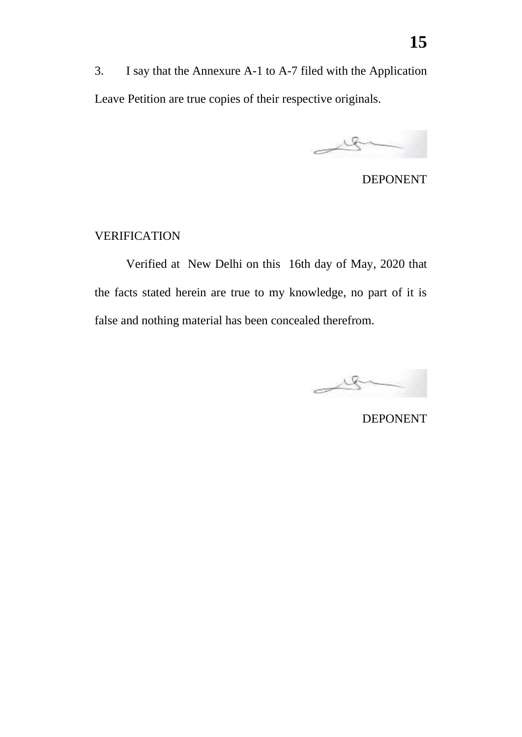3. I say that the Annexure A-1 to A-7 filed with the Application Leave Petition are true copies of their respective originals.

 $\rightarrow$ 

DEPONENT

# VERIFICATION

Verified at New Delhi on this 16th day of May, 2020 that the facts stated herein are true to my knowledge, no part of it is false and nothing material has been concealed therefrom.

le

DEPONENT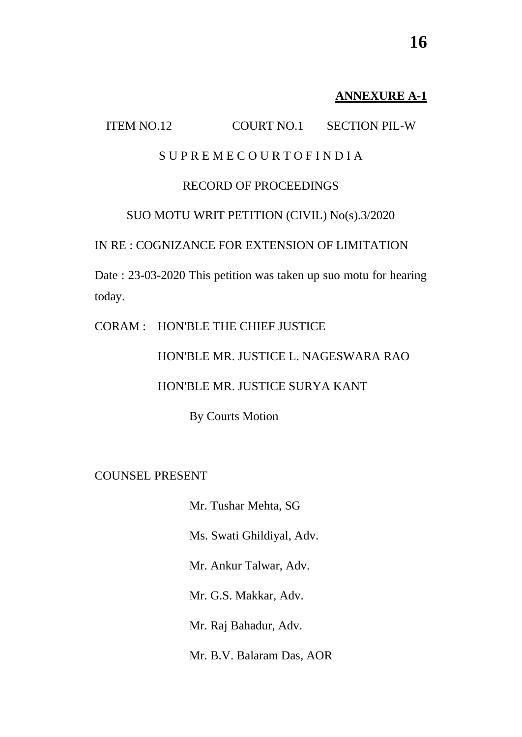# **ANNEXURE A-1**

# ITEM NO.12 COURT NO.1 SECTION PIL-W

# S U P R E M E C O U R T O F I N D I A

# RECORD OF PROCEEDINGS

# SUO MOTU WRIT PETITION (CIVIL) No(s).3/2020

# IN RE : COGNIZANCE FOR EXTENSION OF LIMITATION

Date : 23-03-2020 This petition was taken up suo motu for hearing today.

#### CORAM : HON'BLE THE CHIEF JUSTICE

HON'BLE MR. JUSTICE L. NAGESWARA RAO

#### HON'BLE MR. JUSTICE SURYA KANT

By Courts Motion

# COUNSEL PRESENT

- Mr. Tushar Mehta, SG
- Ms. Swati Ghildiyal, Adv.
- Mr. Ankur Talwar, Adv.
- Mr. G.S. Makkar, Adv.
- Mr. Raj Bahadur, Adv.
- Mr. B.V. Balaram Das, AOR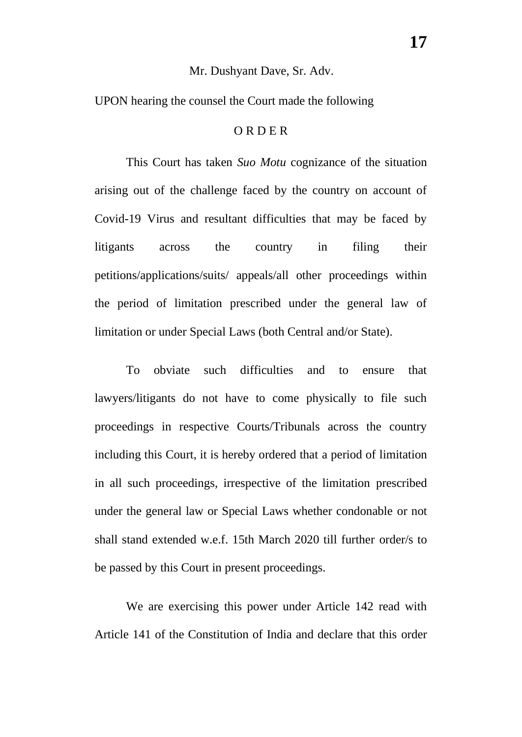#### Mr. Dushyant Dave, Sr. Adv.

UPON hearing the counsel the Court made the following

#### O R D E R

This Court has taken *Suo Motu* cognizance of the situation arising out of the challenge faced by the country on account of Covid-19 Virus and resultant difficulties that may be faced by litigants across the country in filing their petitions/applications/suits/ appeals/all other proceedings within the period of limitation prescribed under the general law of limitation or under Special Laws (both Central and/or State).

To obviate such difficulties and to ensure that lawyers/litigants do not have to come physically to file such proceedings in respective Courts/Tribunals across the country including this Court, it is hereby ordered that a period of limitation in all such proceedings, irrespective of the limitation prescribed under the general law or Special Laws whether condonable or not shall stand extended w.e.f. 15th March 2020 till further order/s to be passed by this Court in present proceedings.

We are exercising this power under Article 142 read with Article 141 of the Constitution of India and declare that this order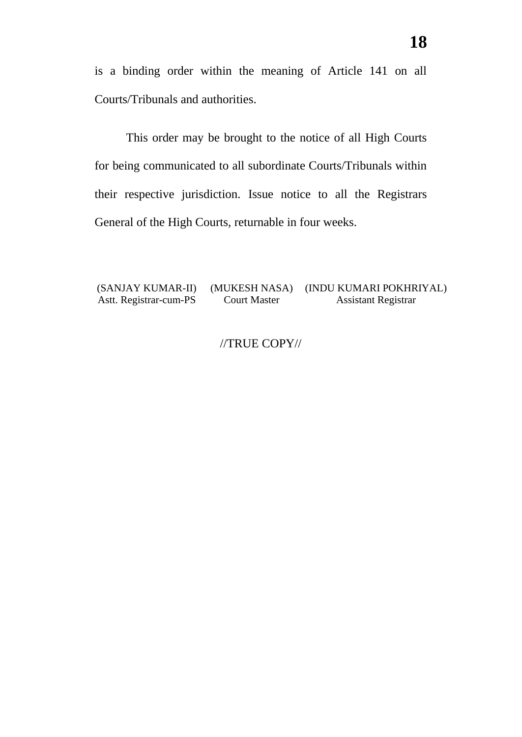is a binding order within the meaning of Article 141 on all Courts/Tribunals and authorities.

This order may be brought to the notice of all High Courts for being communicated to all subordinate Courts/Tribunals within their respective jurisdiction. Issue notice to all the Registrars General of the High Courts, returnable in four weeks.

#### (SANJAY KUMAR-II) Astt. Registrar-cum-PS (MUKESH NASA) Court Master (INDU KUMARI POKHRIYAL) Assistant Registrar

# //TRUE COPY//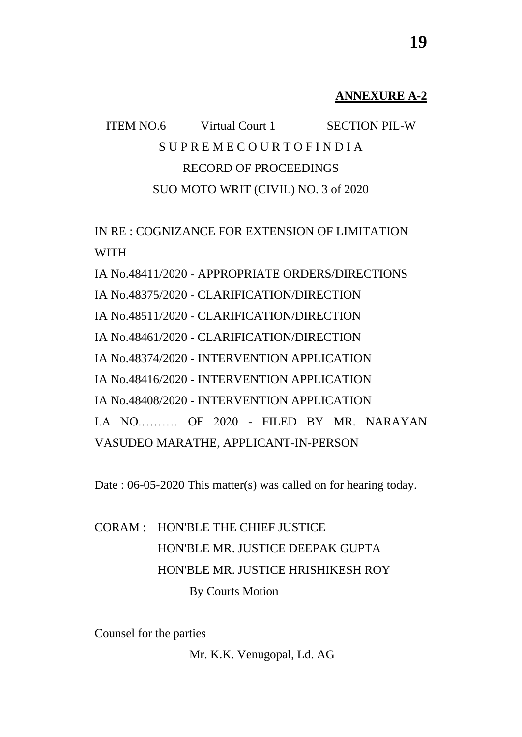### **ANNEXURE A-2**

# ITEM NO.6 Virtual Court 1 SECTION PIL-W S U P R E M E C O U R T O F I N D I A RECORD OF PROCEEDINGS SUO MOTO WRIT (CIVIL) NO. 3 of 2020

IN RE : COGNIZANCE FOR EXTENSION OF LIMITATION WITH IA No.48411/2020 - APPROPRIATE ORDERS/DIRECTIONS

IA No.48375/2020 - CLARIFICATION/DIRECTION IA No.48511/2020 - CLARIFICATION/DIRECTION IA No.48461/2020 - CLARIFICATION/DIRECTION IA No.48374/2020 - INTERVENTION APPLICATION IA No.48416/2020 - INTERVENTION APPLICATION IA No.48408/2020 - INTERVENTION APPLICATION I.A NO.……… OF 2020 - FILED BY MR. NARAYAN VASUDEO MARATHE, APPLICANT-IN-PERSON

Date : 06-05-2020 This matter(s) was called on for hearing today.

# CORAM : HON'BLE THE CHIEF JUSTICE HON'BLE MR. JUSTICE DEEPAK GUPTA HON'BLE MR. JUSTICE HRISHIKESH ROY By Courts Motion

Counsel for the parties

Mr. K.K. Venugopal, Ld. AG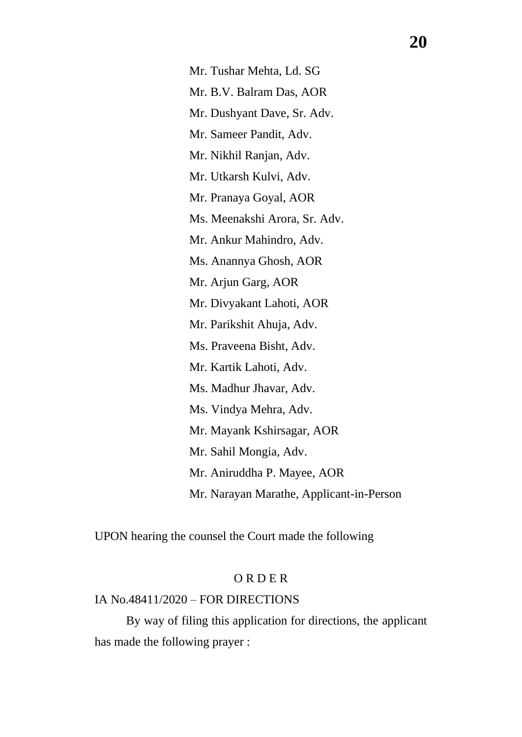Mr. Tushar Mehta, Ld. SG Mr. B.V. Balram Das, AOR Mr. Dushyant Dave, Sr. Adv. Mr. Sameer Pandit, Adv. Mr. Nikhil Ranjan, Adv. Mr. Utkarsh Kulvi, Adv. Mr. Pranaya Goyal, AOR Ms. Meenakshi Arora, Sr. Adv. Mr. Ankur Mahindro, Adv. Ms. Anannya Ghosh, AOR Mr. Arjun Garg, AOR Mr. Divyakant Lahoti, AOR Mr. Parikshit Ahuja, Adv. Ms. Praveena Bisht, Adv. Mr. Kartik Lahoti, Adv. Ms. Madhur Jhavar, Adv. Ms. Vindya Mehra, Adv. Mr. Mayank Kshirsagar, AOR Mr. Sahil Mongia, Adv. Mr. Aniruddha P. Mayee, AOR Mr. Narayan Marathe, Applicant-in-Person

UPON hearing the counsel the Court made the following

# O R D E R

### IA No.48411/2020 – FOR DIRECTIONS

By way of filing this application for directions, the applicant has made the following prayer :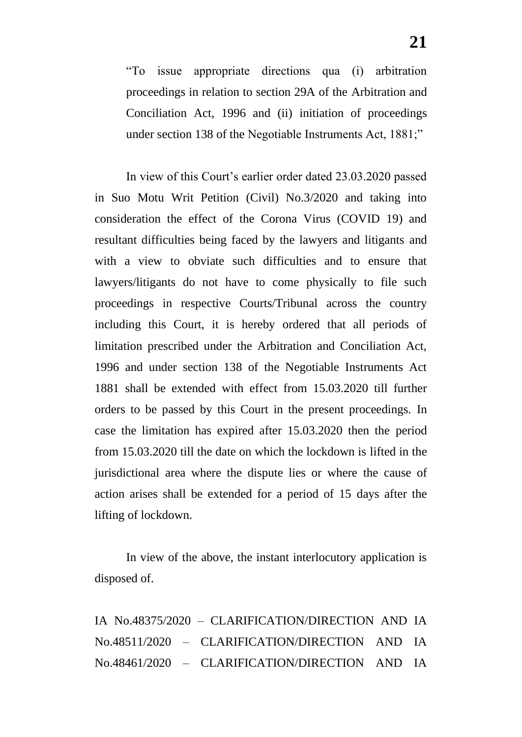"To issue appropriate directions qua (i) arbitration proceedings in relation to section 29A of the Arbitration and Conciliation Act, 1996 and (ii) initiation of proceedings under section 138 of the Negotiable Instruments Act, 1881;"

In view of this Court's earlier order dated 23.03.2020 passed in Suo Motu Writ Petition (Civil) No.3/2020 and taking into consideration the effect of the Corona Virus (COVID 19) and resultant difficulties being faced by the lawyers and litigants and with a view to obviate such difficulties and to ensure that lawyers/litigants do not have to come physically to file such proceedings in respective Courts/Tribunal across the country including this Court, it is hereby ordered that all periods of limitation prescribed under the Arbitration and Conciliation Act, 1996 and under section 138 of the Negotiable Instruments Act 1881 shall be extended with effect from 15.03.2020 till further orders to be passed by this Court in the present proceedings. In case the limitation has expired after 15.03.2020 then the period from 15.03.2020 till the date on which the lockdown is lifted in the jurisdictional area where the dispute lies or where the cause of action arises shall be extended for a period of 15 days after the lifting of lockdown.

In view of the above, the instant interlocutory application is disposed of.

IA No.48375/2020 – CLARIFICATION/DIRECTION AND IA No.48511/2020 – CLARIFICATION/DIRECTION AND IA No.48461/2020 – CLARIFICATION/DIRECTION AND IA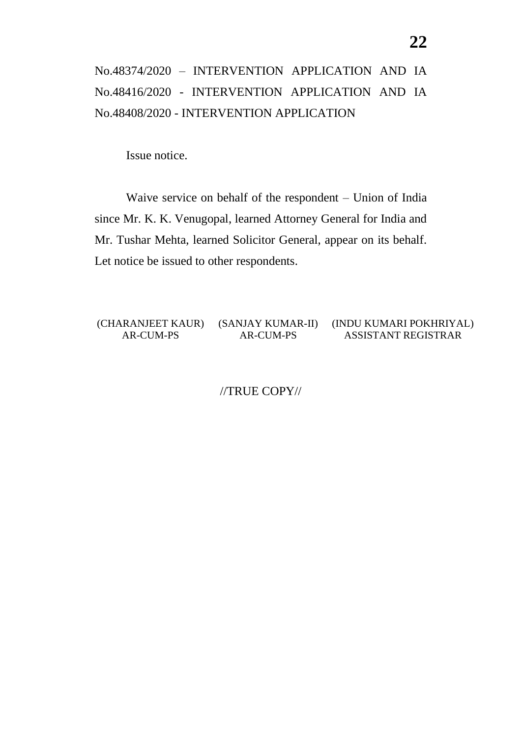# No.48374/2020 – INTERVENTION APPLICATION AND IA No.48416/2020 - INTERVENTION APPLICATION AND IA No.48408/2020 - INTERVENTION APPLICATION

Issue notice.

Waive service on behalf of the respondent – Union of India since Mr. K. K. Venugopal, learned Attorney General for India and Mr. Tushar Mehta, learned Solicitor General, appear on its behalf. Let notice be issued to other respondents.

(CHARANJEET KAUR) (SANJAY KUMAR-II) AR-CUM-PS AR-CUM-PS (INDU KUMARI POKHRIYAL) ASSISTANT REGISTRAR

//TRUE COPY//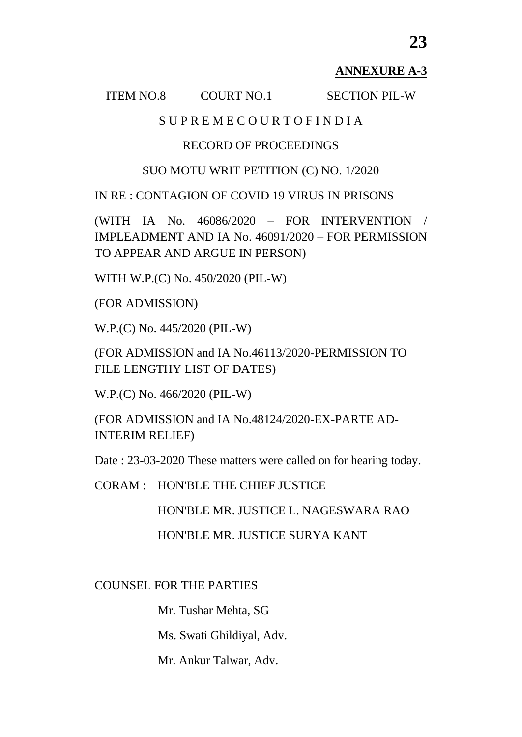# **ANNEXURE A-3**

#### ITEM NO.8 COURT NO.1 SECTION PIL-W

# S U P R E M E C O U R T O F I N D I A

# RECORD OF PROCEEDINGS

### SUO MOTU WRIT PETITION (C) NO. 1/2020

IN RE : CONTAGION OF COVID 19 VIRUS IN PRISONS

(WITH IA No. 46086/2020 – FOR INTERVENTION / IMPLEADMENT AND IA No. 46091/2020 – FOR PERMISSION TO APPEAR AND ARGUE IN PERSON)

WITH W.P.(C) No. 450/2020 (PIL-W)

(FOR ADMISSION)

W.P.(C) No. 445/2020 (PIL-W)

(FOR ADMISSION and IA No.46113/2020-PERMISSION TO FILE LENGTHY LIST OF DATES)

W.P.(C) No. 466/2020 (PIL-W)

(FOR ADMISSION and IA No.48124/2020-EX-PARTE AD-INTERIM RELIEF)

Date : 23-03-2020 These matters were called on for hearing today.

CORAM : HON'BLE THE CHIEF JUSTICE

HON'BLE MR. JUSTICE L. NAGESWARA RAO

HON'BLE MR. JUSTICE SURYA KANT

COUNSEL FOR THE PARTIES

Mr. Tushar Mehta, SG

Ms. Swati Ghildiyal, Adv.

Mr. Ankur Talwar, Adv.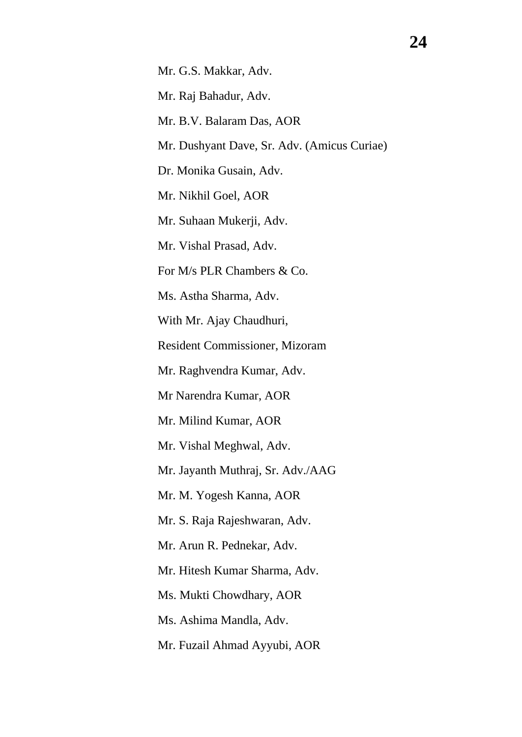Mr. G.S. Makkar, Adv.

Mr. Raj Bahadur, Adv.

Mr. B.V. Balaram Das, AOR

Mr. Dushyant Dave, Sr. Adv. (Amicus Curiae)

Dr. Monika Gusain, Adv.

Mr. Nikhil Goel, AOR

Mr. Suhaan Mukerji, Adv.

Mr. Vishal Prasad, Adv.

For M/s PLR Chambers & Co.

Ms. Astha Sharma, Adv.

With Mr. Ajay Chaudhuri,

Resident Commissioner, Mizoram

Mr. Raghvendra Kumar, Adv.

Mr Narendra Kumar, AOR

Mr. Milind Kumar, AOR

Mr. Vishal Meghwal, Adv.

Mr. Jayanth Muthraj, Sr. Adv./AAG

Mr. M. Yogesh Kanna, AOR

Mr. S. Raja Rajeshwaran, Adv.

Mr. Arun R. Pednekar, Adv.

Mr. Hitesh Kumar Sharma, Adv.

Ms. Mukti Chowdhary, AOR

Ms. Ashima Mandla, Adv.

Mr. Fuzail Ahmad Ayyubi, AOR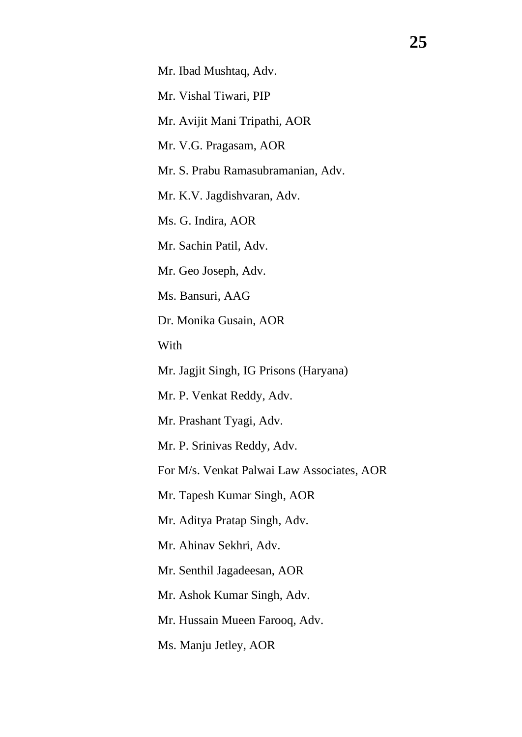Mr. Vishal Tiwari, PIP

Mr. Avijit Mani Tripathi, AOR

Mr. V.G. Pragasam, AOR

Mr. S. Prabu Ramasubramanian, Adv.

Mr. K.V. Jagdishvaran, Adv.

Ms. G. Indira, AOR

Mr. Sachin Patil, Adv.

Mr. Geo Joseph, Adv.

Ms. Bansuri, AAG

Dr. Monika Gusain, AOR

With

Mr. Jagjit Singh, IG Prisons (Haryana)

Mr. P. Venkat Reddy, Adv.

Mr. Prashant Tyagi, Adv.

Mr. P. Srinivas Reddy, Adv.

For M/s. Venkat Palwai Law Associates, AOR

Mr. Tapesh Kumar Singh, AOR

Mr. Aditya Pratap Singh, Adv.

Mr. Ahinav Sekhri, Adv.

Mr. Senthil Jagadeesan, AOR

Mr. Ashok Kumar Singh, Adv.

Mr. Hussain Mueen Farooq, Adv.

Ms. Manju Jetley, AOR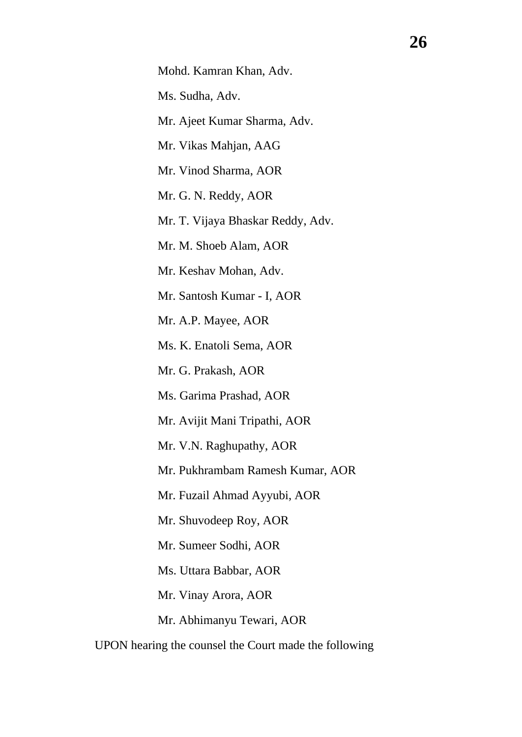Ms. Sudha, Adv.

Mr. Ajeet Kumar Sharma, Adv.

Mr. Vikas Mahjan, AAG

Mr. Vinod Sharma, AOR

Mr. G. N. Reddy, AOR

Mr. T. Vijaya Bhaskar Reddy, Adv.

Mr. M. Shoeb Alam, AOR

Mr. Keshav Mohan, Adv.

Mr. Santosh Kumar - I, AOR

Mr. A.P. Mayee, AOR

Ms. K. Enatoli Sema, AOR

Mr. G. Prakash, AOR

Ms. Garima Prashad, AOR

Mr. Avijit Mani Tripathi, AOR

Mr. V.N. Raghupathy, AOR

Mr. Pukhrambam Ramesh Kumar, AOR

Mr. Fuzail Ahmad Ayyubi, AOR

Mr. Shuvodeep Roy, AOR

Mr. Sumeer Sodhi, AOR

Ms. Uttara Babbar, AOR

Mr. Vinay Arora, AOR

Mr. Abhimanyu Tewari, AOR

UPON hearing the counsel the Court made the following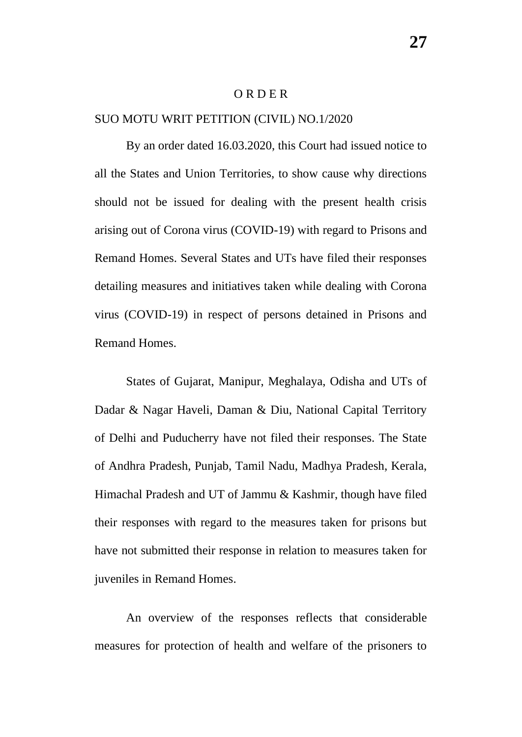#### O R D E R

### SUO MOTU WRIT PETITION (CIVIL) NO.1/2020

By an order dated 16.03.2020, this Court had issued notice to all the States and Union Territories, to show cause why directions should not be issued for dealing with the present health crisis arising out of Corona virus (COVID-19) with regard to Prisons and Remand Homes. Several States and UTs have filed their responses detailing measures and initiatives taken while dealing with Corona virus (COVID-19) in respect of persons detained in Prisons and Remand Homes.

States of Gujarat, Manipur, Meghalaya, Odisha and UTs of Dadar & Nagar Haveli, Daman & Diu, National Capital Territory of Delhi and Puducherry have not filed their responses. The State of Andhra Pradesh, Punjab, Tamil Nadu, Madhya Pradesh, Kerala, Himachal Pradesh and UT of Jammu & Kashmir, though have filed their responses with regard to the measures taken for prisons but have not submitted their response in relation to measures taken for juveniles in Remand Homes.

An overview of the responses reflects that considerable measures for protection of health and welfare of the prisoners to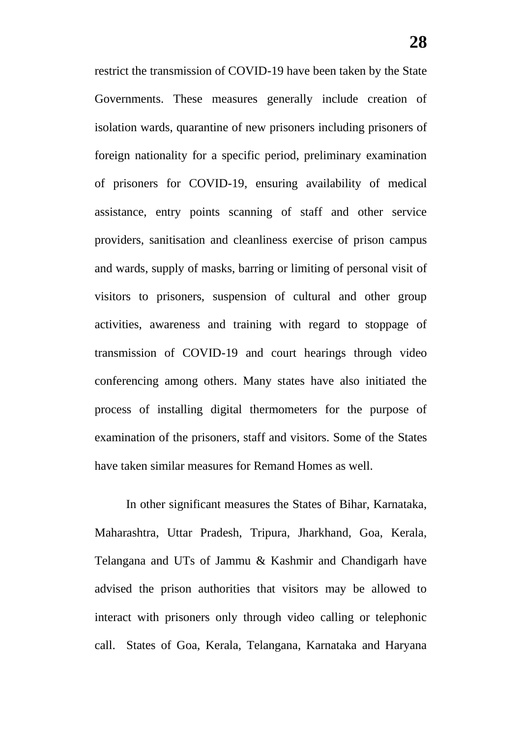restrict the transmission of COVID-19 have been taken by the State Governments. These measures generally include creation of isolation wards, quarantine of new prisoners including prisoners of foreign nationality for a specific period, preliminary examination of prisoners for COVID-19, ensuring availability of medical assistance, entry points scanning of staff and other service providers, sanitisation and cleanliness exercise of prison campus and wards, supply of masks, barring or limiting of personal visit of visitors to prisoners, suspension of cultural and other group activities, awareness and training with regard to stoppage of transmission of COVID-19 and court hearings through video conferencing among others. Many states have also initiated the process of installing digital thermometers for the purpose of examination of the prisoners, staff and visitors. Some of the States have taken similar measures for Remand Homes as well.

In other significant measures the States of Bihar, Karnataka, Maharashtra, Uttar Pradesh, Tripura, Jharkhand, Goa, Kerala, Telangana and UTs of Jammu & Kashmir and Chandigarh have advised the prison authorities that visitors may be allowed to interact with prisoners only through video calling or telephonic call. States of Goa, Kerala, Telangana, Karnataka and Haryana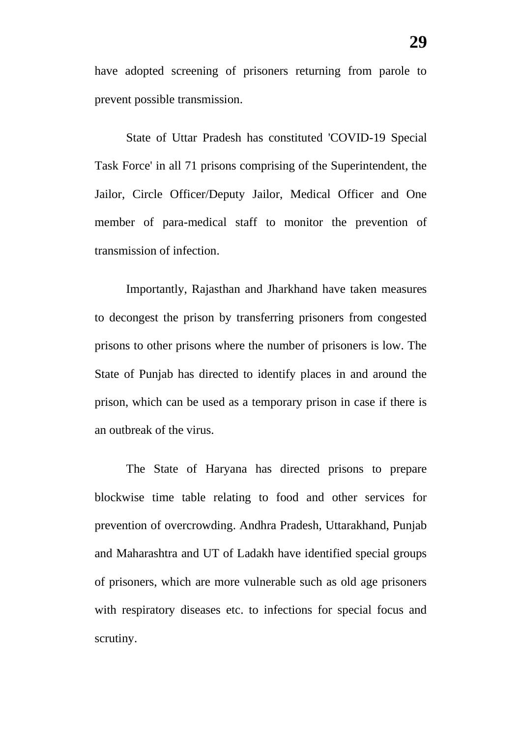have adopted screening of prisoners returning from parole to prevent possible transmission.

State of Uttar Pradesh has constituted 'COVID-19 Special Task Force' in all 71 prisons comprising of the Superintendent, the Jailor, Circle Officer/Deputy Jailor, Medical Officer and One member of para-medical staff to monitor the prevention of transmission of infection.

Importantly, Rajasthan and Jharkhand have taken measures to decongest the prison by transferring prisoners from congested prisons to other prisons where the number of prisoners is low. The State of Punjab has directed to identify places in and around the prison, which can be used as a temporary prison in case if there is an outbreak of the virus.

The State of Haryana has directed prisons to prepare blockwise time table relating to food and other services for prevention of overcrowding. Andhra Pradesh, Uttarakhand, Punjab and Maharashtra and UT of Ladakh have identified special groups of prisoners, which are more vulnerable such as old age prisoners with respiratory diseases etc. to infections for special focus and scrutiny.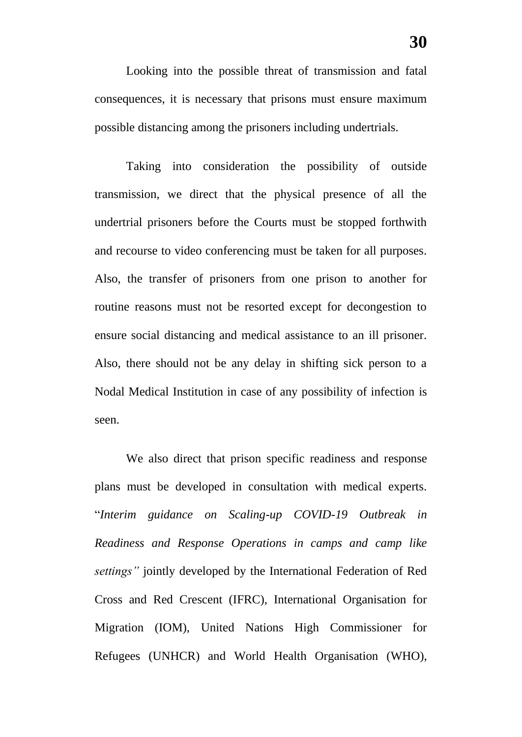Looking into the possible threat of transmission and fatal consequences, it is necessary that prisons must ensure maximum possible distancing among the prisoners including undertrials.

Taking into consideration the possibility of outside transmission, we direct that the physical presence of all the undertrial prisoners before the Courts must be stopped forthwith and recourse to video conferencing must be taken for all purposes. Also, the transfer of prisoners from one prison to another for routine reasons must not be resorted except for decongestion to ensure social distancing and medical assistance to an ill prisoner. Also, there should not be any delay in shifting sick person to a Nodal Medical Institution in case of any possibility of infection is seen.

We also direct that prison specific readiness and response plans must be developed in consultation with medical experts. "*Interim guidance on Scaling-up COVID-19 Outbreak in Readiness and Response Operations in camps and camp like settings"* jointly developed by the International Federation of Red Cross and Red Crescent (IFRC), International Organisation for Migration (IOM), United Nations High Commissioner for Refugees (UNHCR) and World Health Organisation (WHO),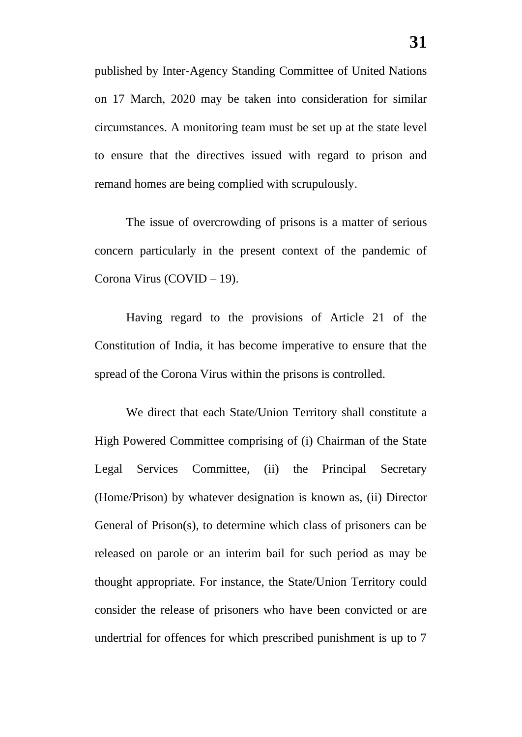published by Inter-Agency Standing Committee of United Nations on 17 March, 2020 may be taken into consideration for similar circumstances. A monitoring team must be set up at the state level to ensure that the directives issued with regard to prison and remand homes are being complied with scrupulously.

The issue of overcrowding of prisons is a matter of serious concern particularly in the present context of the pandemic of Corona Virus (COVID – 19).

Having regard to the provisions of Article 21 of the Constitution of India, it has become imperative to ensure that the spread of the Corona Virus within the prisons is controlled.

We direct that each State/Union Territory shall constitute a High Powered Committee comprising of (i) Chairman of the State Legal Services Committee, (ii) the Principal Secretary (Home/Prison) by whatever designation is known as, (ii) Director General of Prison(s), to determine which class of prisoners can be released on parole or an interim bail for such period as may be thought appropriate. For instance, the State/Union Territory could consider the release of prisoners who have been convicted or are undertrial for offences for which prescribed punishment is up to 7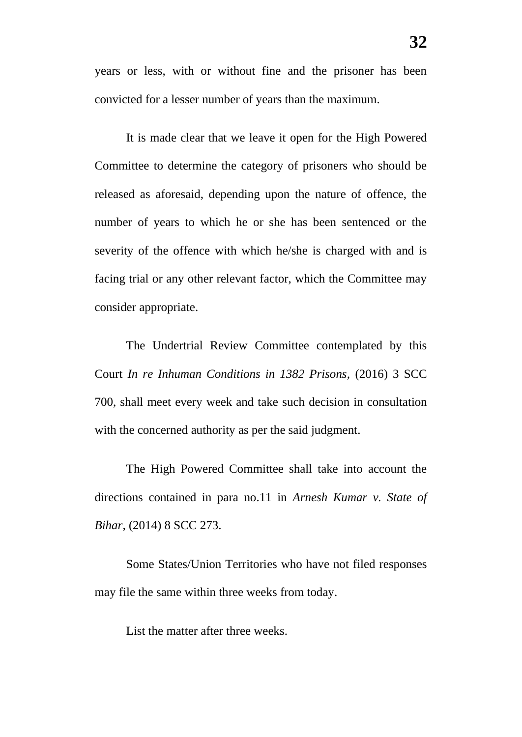years or less, with or without fine and the prisoner has been convicted for a lesser number of years than the maximum.

It is made clear that we leave it open for the High Powered Committee to determine the category of prisoners who should be released as aforesaid, depending upon the nature of offence, the number of years to which he or she has been sentenced or the severity of the offence with which he/she is charged with and is facing trial or any other relevant factor, which the Committee may consider appropriate.

The Undertrial Review Committee contemplated by this Court *In re Inhuman Conditions in 1382 Prisons,* (2016) 3 SCC 700, shall meet every week and take such decision in consultation with the concerned authority as per the said judgment.

The High Powered Committee shall take into account the directions contained in para no.11 in *Arnesh Kumar v. State of Bihar,* (2014) 8 SCC 273.

Some States/Union Territories who have not filed responses may file the same within three weeks from today.

List the matter after three weeks.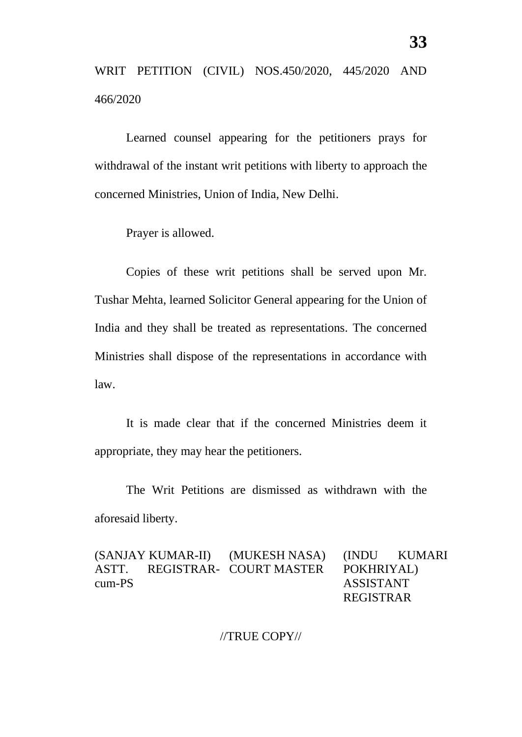WRIT PETITION (CIVIL) NOS.450/2020, 445/2020 AND 466/2020

Learned counsel appearing for the petitioners prays for withdrawal of the instant writ petitions with liberty to approach the concerned Ministries, Union of India, New Delhi.

Prayer is allowed.

Copies of these writ petitions shall be served upon Mr. Tushar Mehta, learned Solicitor General appearing for the Union of India and they shall be treated as representations. The concerned Ministries shall dispose of the representations in accordance with law.

It is made clear that if the concerned Ministries deem it appropriate, they may hear the petitioners.

The Writ Petitions are dismissed as withdrawn with the aforesaid liberty.

(SANJAY KUMAR-II) ASTT. REGISTRAR-COURT MASTER cum-PS (MUKESH NASA) (INDU KUMARI POKHRIYAL) ASSISTANT REGISTRAR

//TRUE COPY//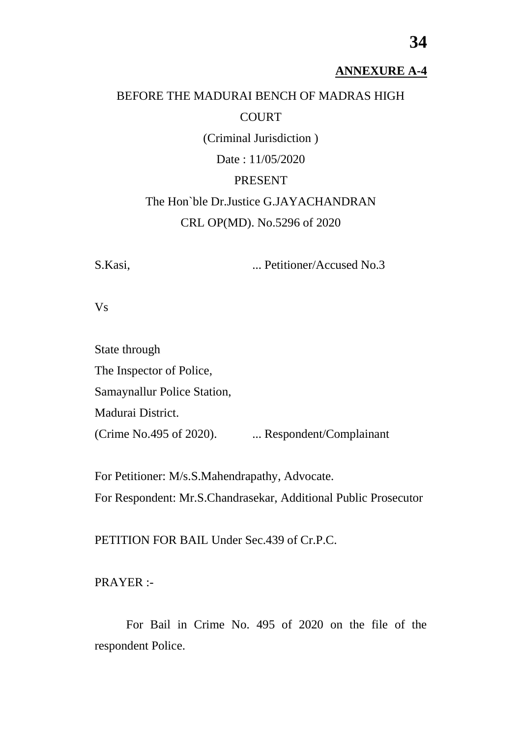### **ANNEXURE A-4**

# BEFORE THE MADURAI BENCH OF MADRAS HIGH COURT

(Criminal Jurisdiction )

Date : 11/05/2020

### PRESENT

The Hon`ble Dr.Justice G.JAYACHANDRAN CRL OP(MD). No.5296 of 2020

S.Kasi, ... Petitioner/Accused No.3

Vs

State through The Inspector of Police, Samaynallur Police Station, Madurai District. (Crime No.495 of 2020). .... Respondent/Complainant

For Petitioner: M/s.S.Mahendrapathy, Advocate. For Respondent: Mr.S.Chandrasekar, Additional Public Prosecutor

PETITION FOR BAIL Under Sec.439 of Cr.P.C.

PRAYER :-

For Bail in Crime No. 495 of 2020 on the file of the respondent Police.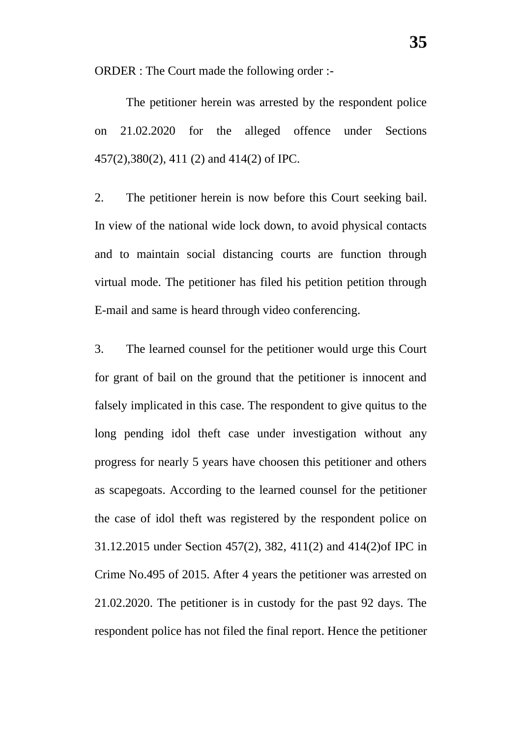ORDER : The Court made the following order :-

The petitioner herein was arrested by the respondent police on 21.02.2020 for the alleged offence under Sections 457(2),380(2), 411 (2) and 414(2) of IPC.

2. The petitioner herein is now before this Court seeking bail. In view of the national wide lock down, to avoid physical contacts and to maintain social distancing courts are function through virtual mode. The petitioner has filed his petition petition through E-mail and same is heard through video conferencing.

3. The learned counsel for the petitioner would urge this Court for grant of bail on the ground that the petitioner is innocent and falsely implicated in this case. The respondent to give quitus to the long pending idol theft case under investigation without any progress for nearly 5 years have choosen this petitioner and others as scapegoats. According to the learned counsel for the petitioner the case of idol theft was registered by the respondent police on 31.12.2015 under Section 457(2), 382, 411(2) and 414(2)of IPC in Crime No.495 of 2015. After 4 years the petitioner was arrested on 21.02.2020. The petitioner is in custody for the past 92 days. The respondent police has not filed the final report. Hence the petitioner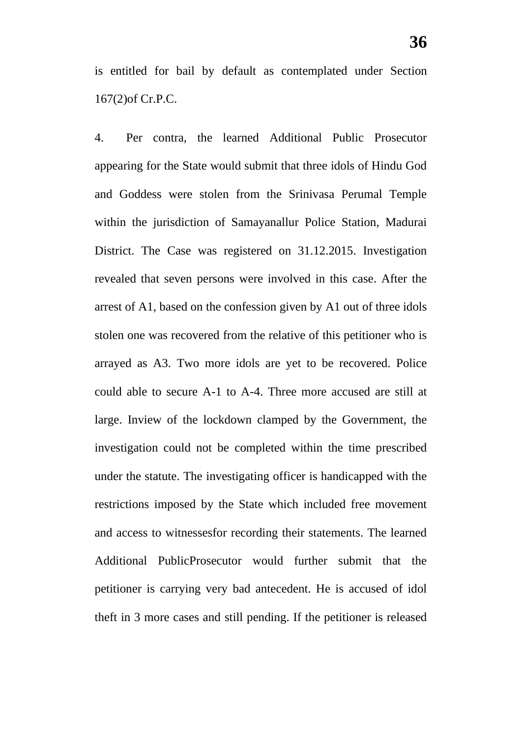is entitled for bail by default as contemplated under Section 167(2)of Cr.P.C.

4. Per contra, the learned Additional Public Prosecutor appearing for the State would submit that three idols of Hindu God and Goddess were stolen from the Srinivasa Perumal Temple within the jurisdiction of Samayanallur Police Station, Madurai District. The Case was registered on 31.12.2015. Investigation revealed that seven persons were involved in this case. After the arrest of A1, based on the confession given by A1 out of three idols stolen one was recovered from the relative of this petitioner who is arrayed as A3. Two more idols are yet to be recovered. Police could able to secure A-1 to A-4. Three more accused are still at large. Inview of the lockdown clamped by the Government, the investigation could not be completed within the time prescribed under the statute. The investigating officer is handicapped with the restrictions imposed by the State which included free movement and access to witnessesfor recording their statements. The learned Additional PublicProsecutor would further submit that the petitioner is carrying very bad antecedent. He is accused of idol theft in 3 more cases and still pending. If the petitioner is released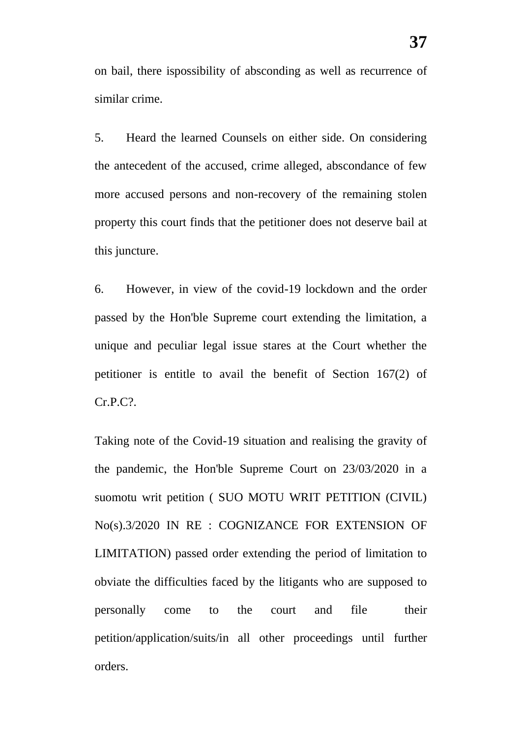on bail, there ispossibility of absconding as well as recurrence of similar crime.

5. Heard the learned Counsels on either side. On considering the antecedent of the accused, crime alleged, abscondance of few more accused persons and non-recovery of the remaining stolen property this court finds that the petitioner does not deserve bail at this juncture.

6. However, in view of the covid-19 lockdown and the order passed by the Hon'ble Supreme court extending the limitation, a unique and peculiar legal issue stares at the Court whether the petitioner is entitle to avail the benefit of Section 167(2) of Cr.P.C?.

Taking note of the Covid-19 situation and realising the gravity of the pandemic, the Hon'ble Supreme Court on 23/03/2020 in a suomotu writ petition ( SUO MOTU WRIT PETITION (CIVIL) No(s).3/2020 IN RE : COGNIZANCE FOR EXTENSION OF LIMITATION) passed order extending the period of limitation to obviate the difficulties faced by the litigants who are supposed to personally come to the court and file their petition/application/suits/in all other proceedings until further orders.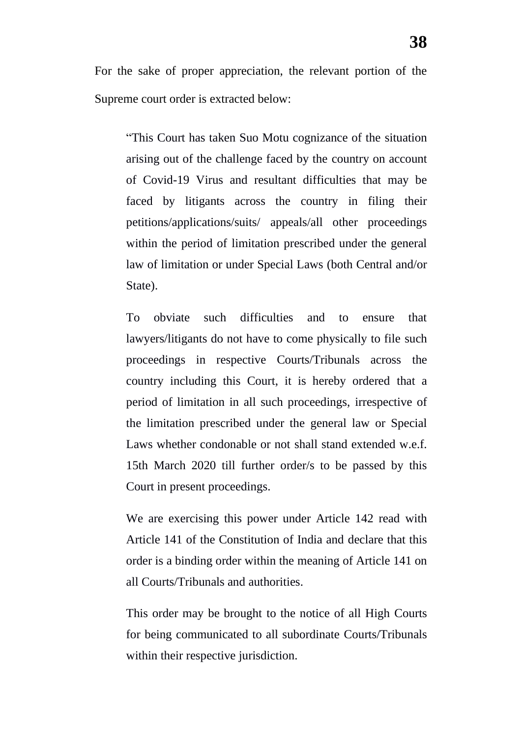For the sake of proper appreciation, the relevant portion of the Supreme court order is extracted below:

"This Court has taken Suo Motu cognizance of the situation arising out of the challenge faced by the country on account of Covid-19 Virus and resultant difficulties that may be faced by litigants across the country in filing their petitions/applications/suits/ appeals/all other proceedings within the period of limitation prescribed under the general law of limitation or under Special Laws (both Central and/or State).

To obviate such difficulties and to ensure that lawyers/litigants do not have to come physically to file such proceedings in respective Courts/Tribunals across the country including this Court, it is hereby ordered that a period of limitation in all such proceedings, irrespective of the limitation prescribed under the general law or Special Laws whether condonable or not shall stand extended w.e.f. 15th March 2020 till further order/s to be passed by this Court in present proceedings.

We are exercising this power under Article 142 read with Article 141 of the Constitution of India and declare that this order is a binding order within the meaning of Article 141 on all Courts/Tribunals and authorities.

This order may be brought to the notice of all High Courts for being communicated to all subordinate Courts/Tribunals within their respective jurisdiction.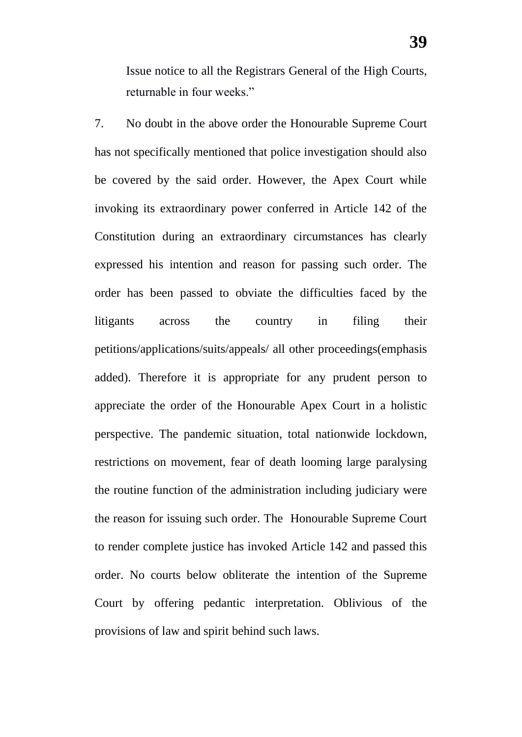Issue notice to all the Registrars General of the High Courts, returnable in four weeks."

7. No doubt in the above order the Honourable Supreme Court has not specifically mentioned that police investigation should also be covered by the said order. However, the Apex Court while invoking its extraordinary power conferred in Article 142 of the Constitution during an extraordinary circumstances has clearly expressed his intention and reason for passing such order. The order has been passed to obviate the difficulties faced by the litigants across the country in filing their petitions/applications/suits/appeals/ all other proceedings(emphasis added). Therefore it is appropriate for any prudent person to appreciate the order of the Honourable Apex Court in a holistic perspective. The pandemic situation, total nationwide lockdown, restrictions on movement, fear of death looming large paralysing the routine function of the administration including judiciary were the reason for issuing such order. The Honourable Supreme Court to render complete justice has invoked Article 142 and passed this order. No courts below obliterate the intention of the Supreme Court by offering pedantic interpretation. Oblivious of the provisions of law and spirit behind such laws.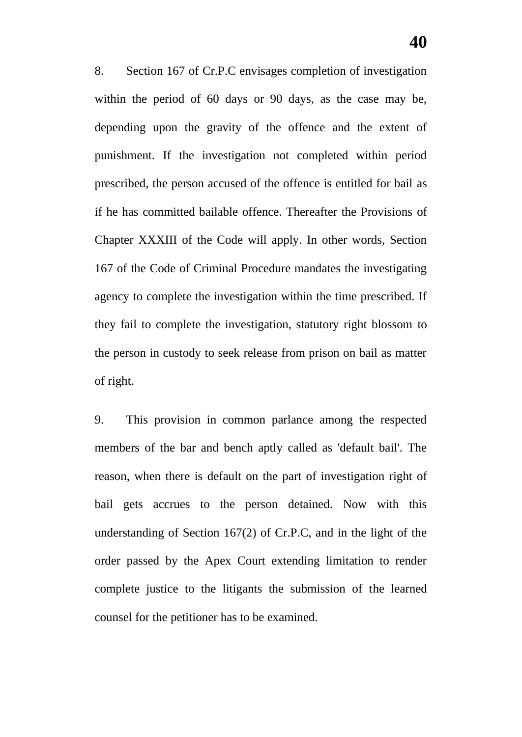8. Section 167 of Cr.P.C envisages completion of investigation within the period of 60 days or 90 days, as the case may be, depending upon the gravity of the offence and the extent of punishment. If the investigation not completed within period prescribed, the person accused of the offence is entitled for bail as if he has committed bailable offence. Thereafter the Provisions of Chapter XXXIII of the Code will apply. In other words, Section 167 of the Code of Criminal Procedure mandates the investigating agency to complete the investigation within the time prescribed. If they fail to complete the investigation, statutory right blossom to the person in custody to seek release from prison on bail as matter of right.

9. This provision in common parlance among the respected members of the bar and bench aptly called as 'default bail'. The reason, when there is default on the part of investigation right of bail gets accrues to the person detained. Now with this understanding of Section 167(2) of Cr.P.C, and in the light of the order passed by the Apex Court extending limitation to render complete justice to the litigants the submission of the learned counsel for the petitioner has to be examined.

**40**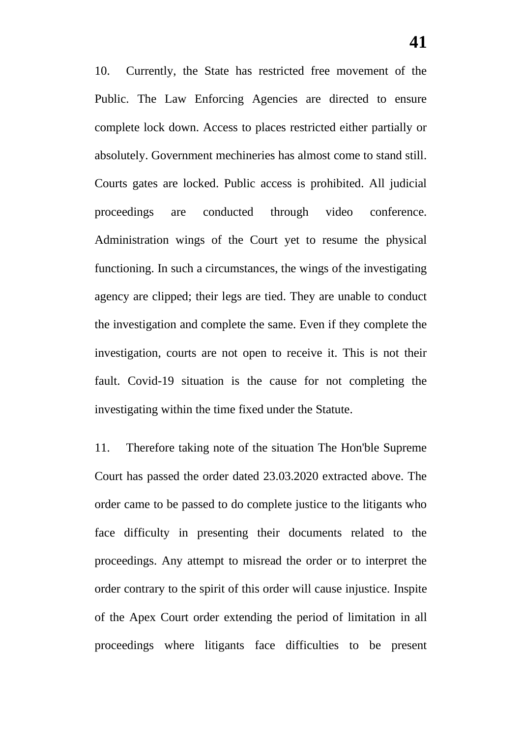10. Currently, the State has restricted free movement of the Public. The Law Enforcing Agencies are directed to ensure complete lock down. Access to places restricted either partially or absolutely. Government mechineries has almost come to stand still. Courts gates are locked. Public access is prohibited. All judicial proceedings are conducted through video conference. Administration wings of the Court yet to resume the physical functioning. In such a circumstances, the wings of the investigating agency are clipped; their legs are tied. They are unable to conduct the investigation and complete the same. Even if they complete the investigation, courts are not open to receive it. This is not their fault. Covid-19 situation is the cause for not completing the investigating within the time fixed under the Statute.

11. Therefore taking note of the situation The Hon'ble Supreme Court has passed the order dated 23.03.2020 extracted above. The order came to be passed to do complete justice to the litigants who face difficulty in presenting their documents related to the proceedings. Any attempt to misread the order or to interpret the order contrary to the spirit of this order will cause injustice. Inspite of the Apex Court order extending the period of limitation in all proceedings where litigants face difficulties to be present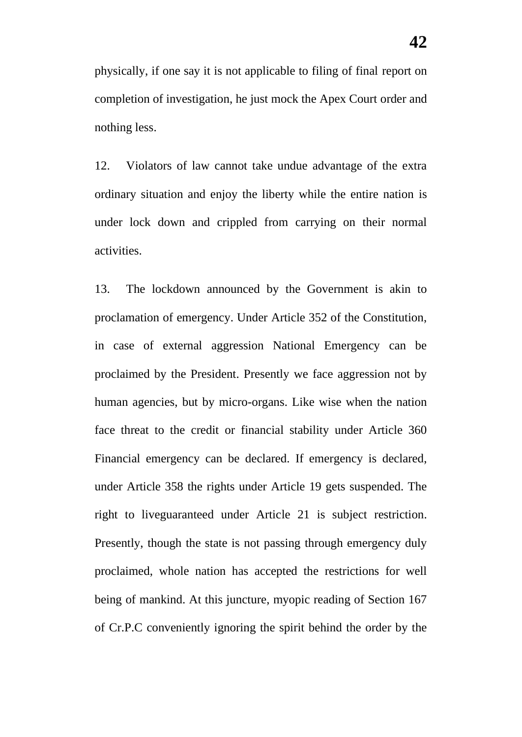physically, if one say it is not applicable to filing of final report on completion of investigation, he just mock the Apex Court order and nothing less.

12. Violators of law cannot take undue advantage of the extra ordinary situation and enjoy the liberty while the entire nation is under lock down and crippled from carrying on their normal activities.

13. The lockdown announced by the Government is akin to proclamation of emergency. Under Article 352 of the Constitution, in case of external aggression National Emergency can be proclaimed by the President. Presently we face aggression not by human agencies, but by micro-organs. Like wise when the nation face threat to the credit or financial stability under Article 360 Financial emergency can be declared. If emergency is declared, under Article 358 the rights under Article 19 gets suspended. The right to liveguaranteed under Article 21 is subject restriction. Presently, though the state is not passing through emergency duly proclaimed, whole nation has accepted the restrictions for well being of mankind. At this juncture, myopic reading of Section 167 of Cr.P.C conveniently ignoring the spirit behind the order by the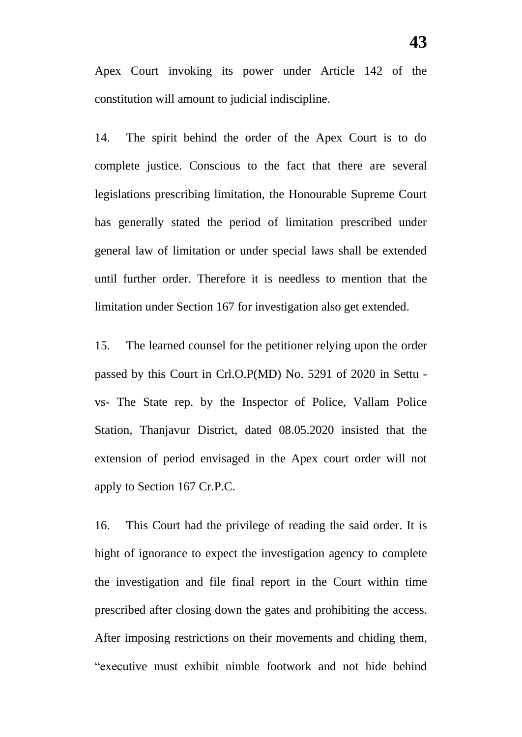Apex Court invoking its power under Article 142 of the constitution will amount to judicial indiscipline.

14. The spirit behind the order of the Apex Court is to do complete justice. Conscious to the fact that there are several legislations prescribing limitation, the Honourable Supreme Court has generally stated the period of limitation prescribed under general law of limitation or under special laws shall be extended until further order. Therefore it is needless to mention that the limitation under Section 167 for investigation also get extended.

15. The learned counsel for the petitioner relying upon the order passed by this Court in Crl.O.P(MD) No. 5291 of 2020 in Settu vs- The State rep. by the Inspector of Police, Vallam Police Station, Thanjavur District, dated 08.05.2020 insisted that the extension of period envisaged in the Apex court order will not apply to Section 167 Cr.P.C.

16. This Court had the privilege of reading the said order. It is hight of ignorance to expect the investigation agency to complete the investigation and file final report in the Court within time prescribed after closing down the gates and prohibiting the access. After imposing restrictions on their movements and chiding them, "executive must exhibit nimble footwork and not hide behind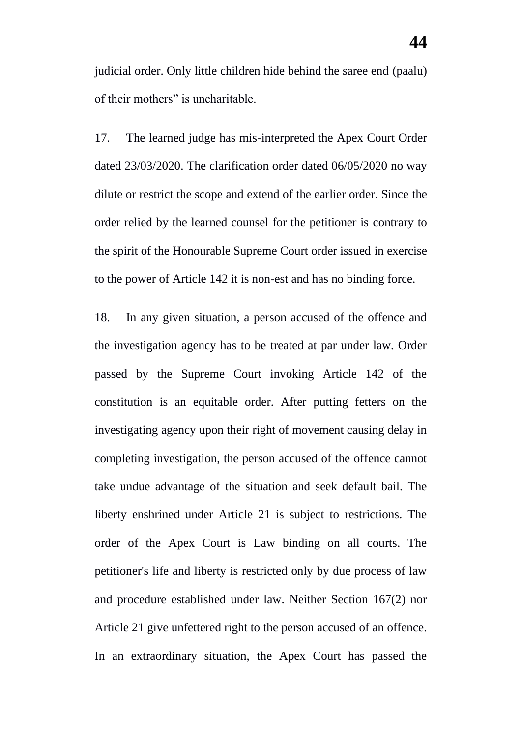judicial order. Only little children hide behind the saree end (paalu) of their mothers" is uncharitable.

17. The learned judge has mis-interpreted the Apex Court Order dated 23/03/2020. The clarification order dated 06/05/2020 no way dilute or restrict the scope and extend of the earlier order. Since the order relied by the learned counsel for the petitioner is contrary to the spirit of the Honourable Supreme Court order issued in exercise to the power of Article 142 it is non-est and has no binding force.

18. In any given situation, a person accused of the offence and the investigation agency has to be treated at par under law. Order passed by the Supreme Court invoking Article 142 of the constitution is an equitable order. After putting fetters on the investigating agency upon their right of movement causing delay in completing investigation, the person accused of the offence cannot take undue advantage of the situation and seek default bail. The liberty enshrined under Article 21 is subject to restrictions. The order of the Apex Court is Law binding on all courts. The petitioner's life and liberty is restricted only by due process of law and procedure established under law. Neither Section 167(2) nor Article 21 give unfettered right to the person accused of an offence. In an extraordinary situation, the Apex Court has passed the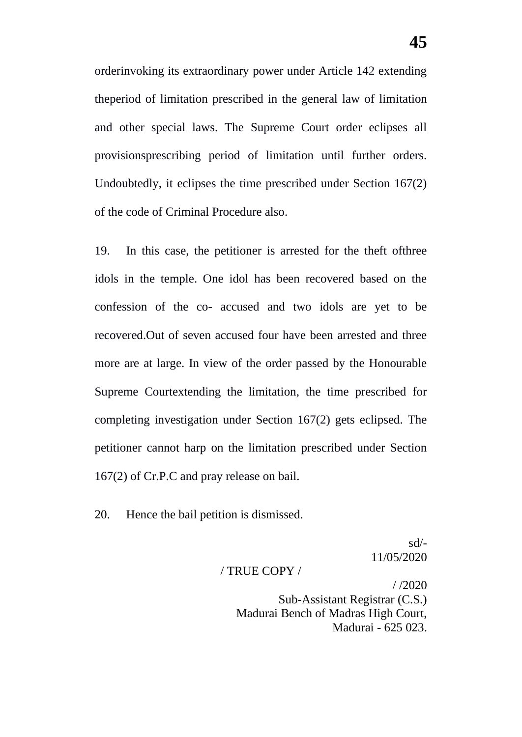orderinvoking its extraordinary power under Article 142 extending theperiod of limitation prescribed in the general law of limitation and other special laws. The Supreme Court order eclipses all provisionsprescribing period of limitation until further orders. Undoubtedly, it eclipses the time prescribed under Section 167(2) of the code of Criminal Procedure also.

19. In this case, the petitioner is arrested for the theft ofthree idols in the temple. One idol has been recovered based on the confession of the co- accused and two idols are yet to be recovered.Out of seven accused four have been arrested and three more are at large. In view of the order passed by the Honourable Supreme Courtextending the limitation, the time prescribed for completing investigation under Section 167(2) gets eclipsed. The petitioner cannot harp on the limitation prescribed under Section 167(2) of Cr.P.C and pray release on bail.

20. Hence the bail petition is dismissed.

sd/- 11/05/2020

### / TRUE COPY /

 $/ 2020$ Sub-Assistant Registrar (C.S.) Madurai Bench of Madras High Court, Madurai - 625 023.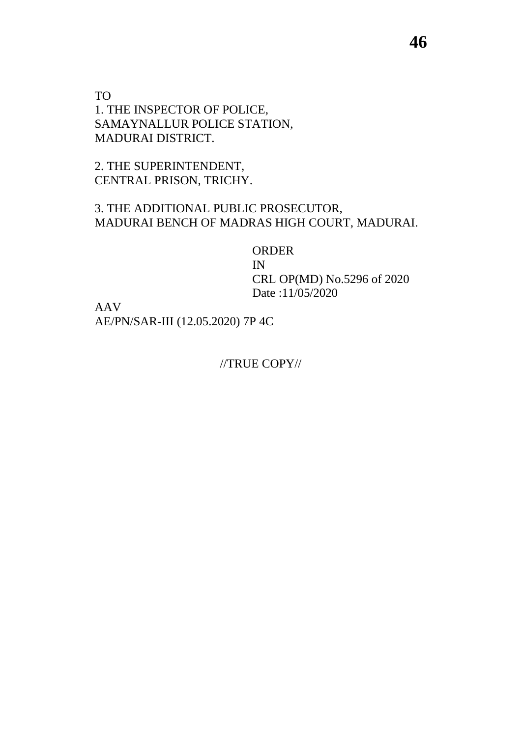TO 1. THE INSPECTOR OF POLICE, SAMAYNALLUR POLICE STATION, MADURAI DISTRICT.

2. THE SUPERINTENDENT, CENTRAL PRISON, TRICHY.

### 3. THE ADDITIONAL PUBLIC PROSECUTOR, MADURAI BENCH OF MADRAS HIGH COURT, MADURAI.

ORDER IN CRL OP(MD) No.5296 of 2020 Date :11/05/2020

AAV AE/PN/SAR-III (12.05.2020) 7P 4C

//TRUE COPY//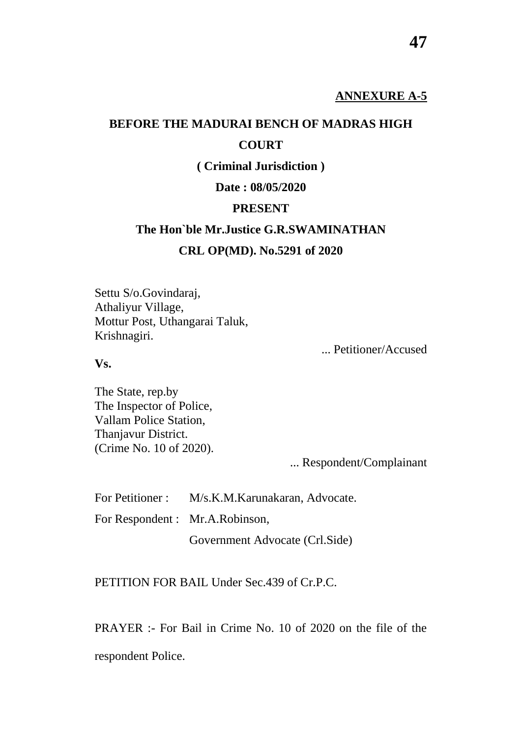# **BEFORE THE MADURAI BENCH OF MADRAS HIGH COURT**

**( Criminal Jurisdiction )**

**Date : 08/05/2020**

### **PRESENT**

# **The Hon`ble Mr.Justice G.R.SWAMINATHAN CRL OP(MD). No.5291 of 2020**

Settu S/o.Govindaraj, Athaliyur Village, Mottur Post, Uthangarai Taluk, Krishnagiri.

... Petitioner/Accused

**Vs.**

The State, rep.by The Inspector of Police, Vallam Police Station, Thanjavur District. (Crime No. 10 of 2020).

... Respondent/Complainant

For Petitioner : M/s.K.M.Karunakaran, Advocate. For Respondent : Mr.A.Robinson, Government Advocate (Crl.Side)

PETITION FOR BAIL Under Sec.439 of Cr.P.C.

PRAYER :- For Bail in Crime No. 10 of 2020 on the file of the respondent Police.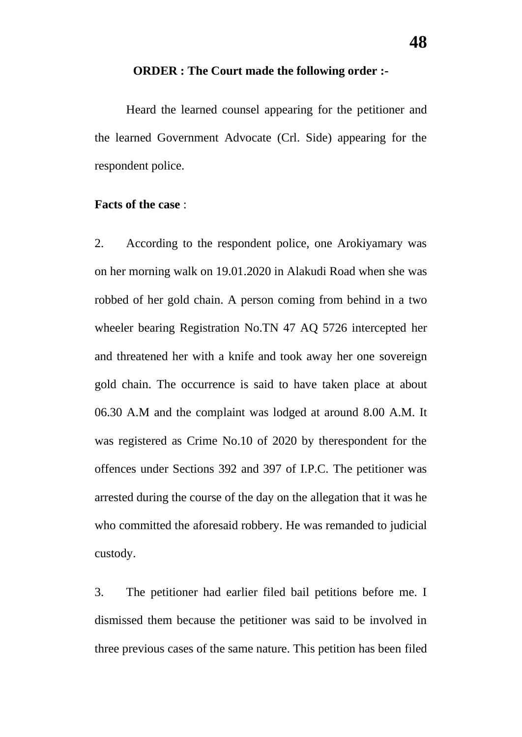#### **ORDER : The Court made the following order :-**

Heard the learned counsel appearing for the petitioner and the learned Government Advocate (Crl. Side) appearing for the respondent police.

### **Facts of the case** :

2. According to the respondent police, one Arokiyamary was on her morning walk on 19.01.2020 in Alakudi Road when she was robbed of her gold chain. A person coming from behind in a two wheeler bearing Registration No.TN 47 AQ 5726 intercepted her and threatened her with a knife and took away her one sovereign gold chain. The occurrence is said to have taken place at about 06.30 A.M and the complaint was lodged at around 8.00 A.M. It was registered as Crime No.10 of 2020 by therespondent for the offences under Sections 392 and 397 of I.P.C. The petitioner was arrested during the course of the day on the allegation that it was he who committed the aforesaid robbery. He was remanded to judicial custody.

3. The petitioner had earlier filed bail petitions before me. I dismissed them because the petitioner was said to be involved in three previous cases of the same nature. This petition has been filed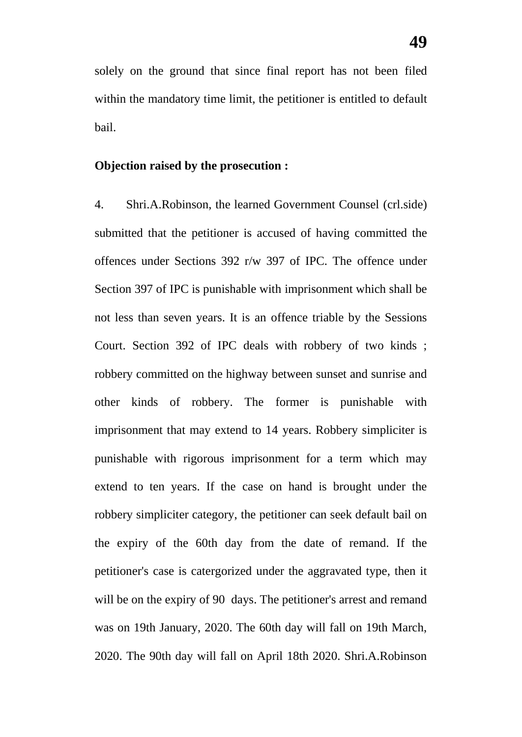solely on the ground that since final report has not been filed within the mandatory time limit, the petitioner is entitled to default bail.

### **Objection raised by the prosecution :**

4. Shri.A.Robinson, the learned Government Counsel (crl.side) submitted that the petitioner is accused of having committed the offences under Sections 392 r/w 397 of IPC. The offence under Section 397 of IPC is punishable with imprisonment which shall be not less than seven years. It is an offence triable by the Sessions Court. Section 392 of IPC deals with robbery of two kinds ; robbery committed on the highway between sunset and sunrise and other kinds of robbery. The former is punishable with imprisonment that may extend to 14 years. Robbery simpliciter is punishable with rigorous imprisonment for a term which may extend to ten years. If the case on hand is brought under the robbery simpliciter category, the petitioner can seek default bail on the expiry of the 60th day from the date of remand. If the petitioner's case is catergorized under the aggravated type, then it will be on the expiry of 90 days. The petitioner's arrest and remand was on 19th January, 2020. The 60th day will fall on 19th March, 2020. The 90th day will fall on April 18th 2020. Shri.A.Robinson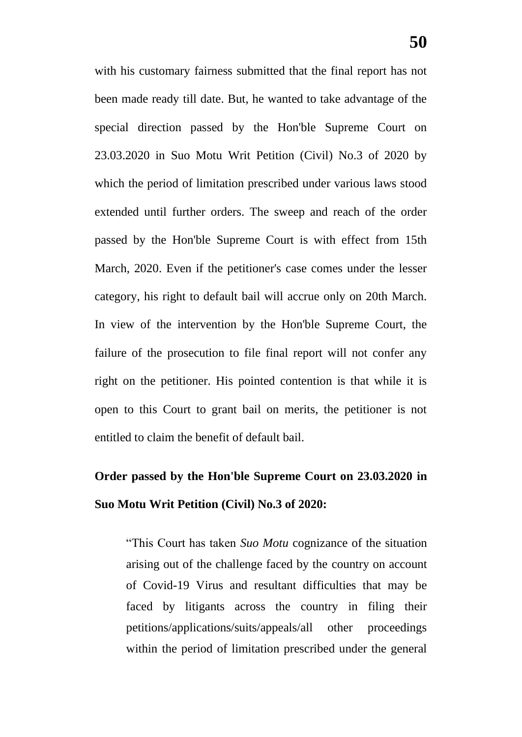with his customary fairness submitted that the final report has not been made ready till date. But, he wanted to take advantage of the special direction passed by the Hon'ble Supreme Court on 23.03.2020 in Suo Motu Writ Petition (Civil) No.3 of 2020 by which the period of limitation prescribed under various laws stood extended until further orders. The sweep and reach of the order passed by the Hon'ble Supreme Court is with effect from 15th March, 2020. Even if the petitioner's case comes under the lesser category, his right to default bail will accrue only on 20th March. In view of the intervention by the Hon'ble Supreme Court, the failure of the prosecution to file final report will not confer any right on the petitioner. His pointed contention is that while it is open to this Court to grant bail on merits, the petitioner is not entitled to claim the benefit of default bail.

# **Order passed by the Hon'ble Supreme Court on 23.03.2020 in Suo Motu Writ Petition (Civil) No.3 of 2020:**

"This Court has taken *Suo Motu* cognizance of the situation arising out of the challenge faced by the country on account of Covid-19 Virus and resultant difficulties that may be faced by litigants across the country in filing their petitions/applications/suits/appeals/all other proceedings within the period of limitation prescribed under the general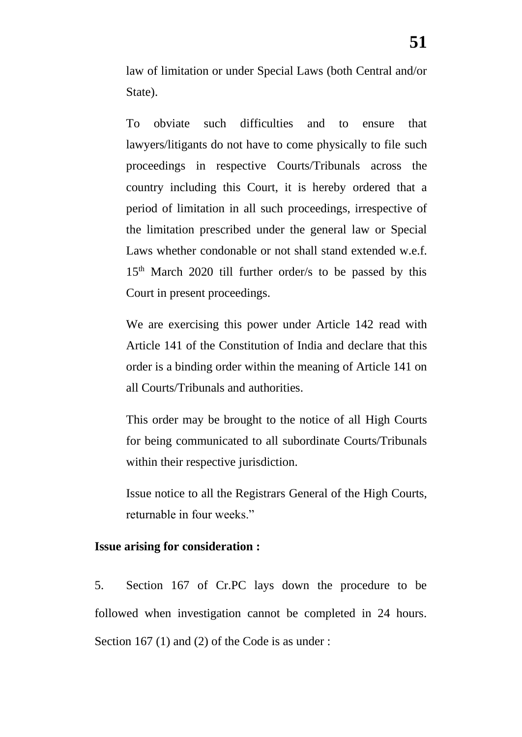law of limitation or under Special Laws (both Central and/or State).

To obviate such difficulties and to ensure that lawyers/litigants do not have to come physically to file such proceedings in respective Courts/Tribunals across the country including this Court, it is hereby ordered that a period of limitation in all such proceedings, irrespective of the limitation prescribed under the general law or Special Laws whether condonable or not shall stand extended w.e.f. 15th March 2020 till further order/s to be passed by this Court in present proceedings.

We are exercising this power under Article 142 read with Article 141 of the Constitution of India and declare that this order is a binding order within the meaning of Article 141 on all Courts/Tribunals and authorities.

This order may be brought to the notice of all High Courts for being communicated to all subordinate Courts/Tribunals within their respective jurisdiction.

Issue notice to all the Registrars General of the High Courts, returnable in four weeks."

### **Issue arising for consideration :**

5. Section 167 of Cr.PC lays down the procedure to be followed when investigation cannot be completed in 24 hours. Section 167 (1) and (2) of the Code is as under :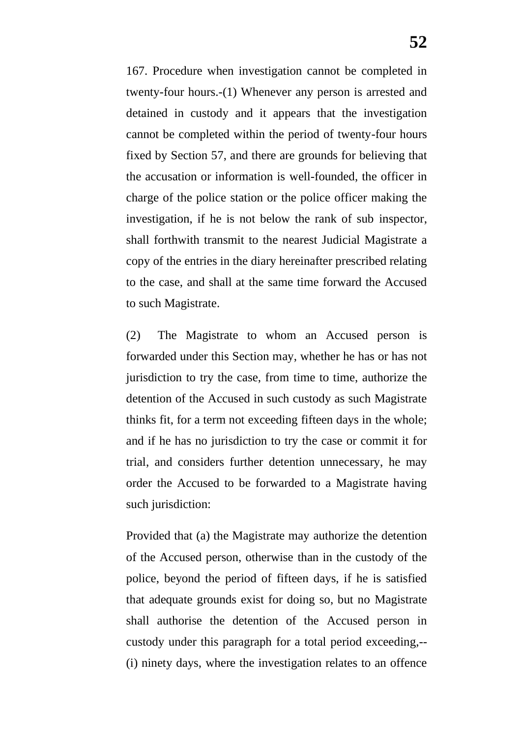167. Procedure when investigation cannot be completed in twenty-four hours.-(1) Whenever any person is arrested and detained in custody and it appears that the investigation cannot be completed within the period of twenty-four hours fixed by Section 57, and there are grounds for believing that the accusation or information is well-founded, the officer in charge of the police station or the police officer making the investigation, if he is not below the rank of sub inspector, shall forthwith transmit to the nearest Judicial Magistrate a copy of the entries in the diary hereinafter prescribed relating to the case, and shall at the same time forward the Accused to such Magistrate.

(2) The Magistrate to whom an Accused person is forwarded under this Section may, whether he has or has not jurisdiction to try the case, from time to time, authorize the detention of the Accused in such custody as such Magistrate thinks fit, for a term not exceeding fifteen days in the whole; and if he has no jurisdiction to try the case or commit it for trial, and considers further detention unnecessary, he may order the Accused to be forwarded to a Magistrate having such jurisdiction:

Provided that (a) the Magistrate may authorize the detention of the Accused person, otherwise than in the custody of the police, beyond the period of fifteen days, if he is satisfied that adequate grounds exist for doing so, but no Magistrate shall authorise the detention of the Accused person in custody under this paragraph for a total period exceeding,-- (i) ninety days, where the investigation relates to an offence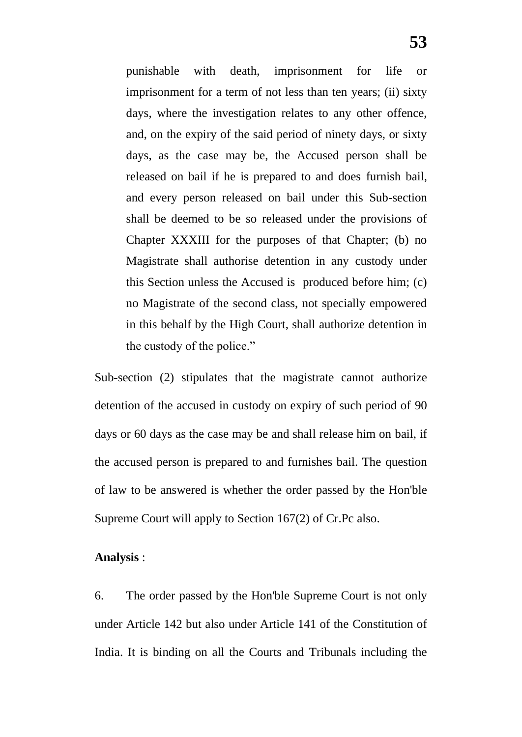punishable with death, imprisonment for life or imprisonment for a term of not less than ten years; (ii) sixty days, where the investigation relates to any other offence, and, on the expiry of the said period of ninety days, or sixty days, as the case may be, the Accused person shall be released on bail if he is prepared to and does furnish bail, and every person released on bail under this Sub-section shall be deemed to be so released under the provisions of Chapter XXXIII for the purposes of that Chapter; (b) no Magistrate shall authorise detention in any custody under this Section unless the Accused is produced before him; (c) no Magistrate of the second class, not specially empowered in this behalf by the High Court, shall authorize detention in the custody of the police."

Sub-section (2) stipulates that the magistrate cannot authorize detention of the accused in custody on expiry of such period of 90 days or 60 days as the case may be and shall release him on bail, if the accused person is prepared to and furnishes bail. The question of law to be answered is whether the order passed by the Hon'ble Supreme Court will apply to Section 167(2) of Cr.Pc also.

### **Analysis** :

6. The order passed by the Hon'ble Supreme Court is not only under Article 142 but also under Article 141 of the Constitution of India. It is binding on all the Courts and Tribunals including the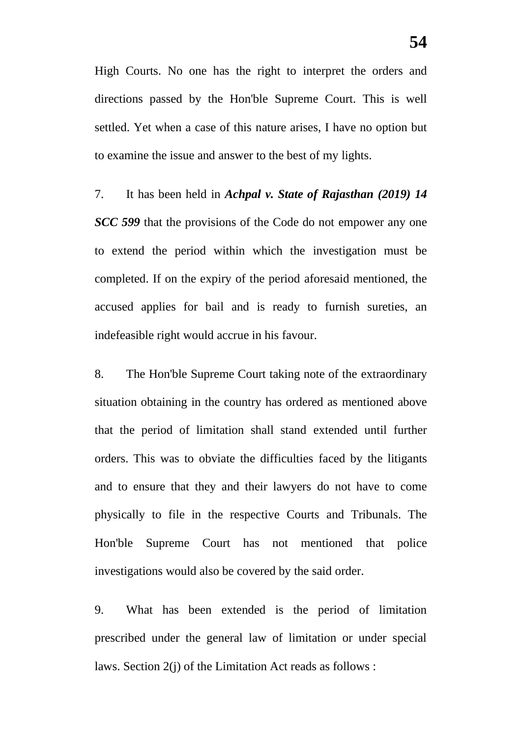High Courts. No one has the right to interpret the orders and directions passed by the Hon'ble Supreme Court. This is well settled. Yet when a case of this nature arises, I have no option but to examine the issue and answer to the best of my lights.

7. It has been held in *Achpal v. State of Rajasthan (2019) 14 SCC 599* that the provisions of the Code do not empower any one to extend the period within which the investigation must be completed. If on the expiry of the period aforesaid mentioned, the accused applies for bail and is ready to furnish sureties, an indefeasible right would accrue in his favour.

8. The Hon'ble Supreme Court taking note of the extraordinary situation obtaining in the country has ordered as mentioned above that the period of limitation shall stand extended until further orders. This was to obviate the difficulties faced by the litigants and to ensure that they and their lawyers do not have to come physically to file in the respective Courts and Tribunals. The Hon'ble Supreme Court has not mentioned that police investigations would also be covered by the said order.

9. What has been extended is the period of limitation prescribed under the general law of limitation or under special laws. Section 2(j) of the Limitation Act reads as follows :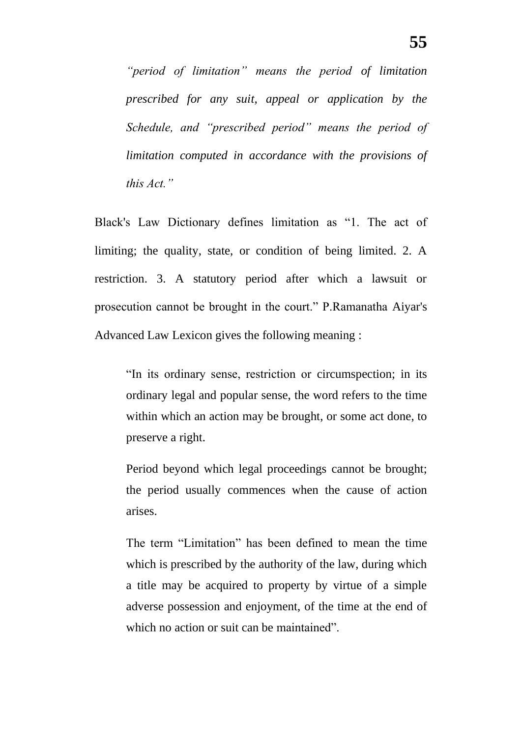*"period of limitation" means the period of limitation prescribed for any suit, appeal or application by the Schedule, and "prescribed period" means the period of limitation computed in accordance with the provisions of this Act."*

Black's Law Dictionary defines limitation as "1. The act of limiting; the quality, state, or condition of being limited. 2. A restriction. 3. A statutory period after which a lawsuit or prosecution cannot be brought in the court." P.Ramanatha Aiyar's Advanced Law Lexicon gives the following meaning :

"In its ordinary sense, restriction or circumspection; in its ordinary legal and popular sense, the word refers to the time within which an action may be brought, or some act done, to preserve a right.

Period beyond which legal proceedings cannot be brought; the period usually commences when the cause of action arises.

The term "Limitation" has been defined to mean the time which is prescribed by the authority of the law, during which a title may be acquired to property by virtue of a simple adverse possession and enjoyment, of the time at the end of which no action or suit can be maintained".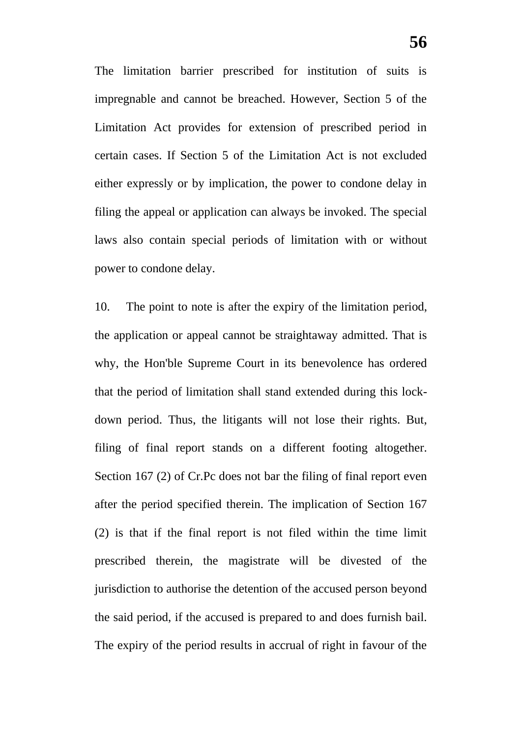The limitation barrier prescribed for institution of suits is impregnable and cannot be breached. However, Section 5 of the Limitation Act provides for extension of prescribed period in certain cases. If Section 5 of the Limitation Act is not excluded either expressly or by implication, the power to condone delay in filing the appeal or application can always be invoked. The special laws also contain special periods of limitation with or without power to condone delay.

10. The point to note is after the expiry of the limitation period, the application or appeal cannot be straightaway admitted. That is why, the Hon'ble Supreme Court in its benevolence has ordered that the period of limitation shall stand extended during this lockdown period. Thus, the litigants will not lose their rights. But, filing of final report stands on a different footing altogether. Section 167 (2) of Cr.Pc does not bar the filing of final report even after the period specified therein. The implication of Section 167 (2) is that if the final report is not filed within the time limit prescribed therein, the magistrate will be divested of the jurisdiction to authorise the detention of the accused person beyond the said period, if the accused is prepared to and does furnish bail. The expiry of the period results in accrual of right in favour of the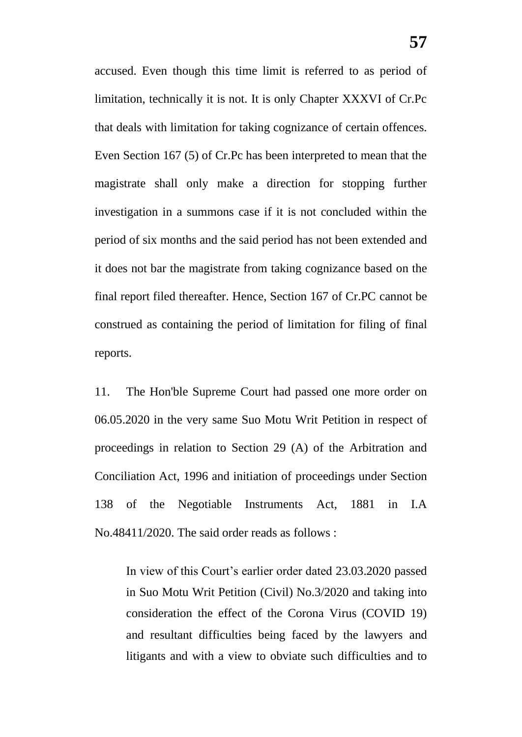accused. Even though this time limit is referred to as period of limitation, technically it is not. It is only Chapter XXXVI of Cr.Pc that deals with limitation for taking cognizance of certain offences. Even Section 167 (5) of Cr.Pc has been interpreted to mean that the magistrate shall only make a direction for stopping further investigation in a summons case if it is not concluded within the period of six months and the said period has not been extended and it does not bar the magistrate from taking cognizance based on the final report filed thereafter. Hence, Section 167 of Cr.PC cannot be construed as containing the period of limitation for filing of final reports.

11. The Hon'ble Supreme Court had passed one more order on 06.05.2020 in the very same Suo Motu Writ Petition in respect of proceedings in relation to Section 29 (A) of the Arbitration and Conciliation Act, 1996 and initiation of proceedings under Section 138 of the Negotiable Instruments Act, 1881 in I.A No.48411/2020. The said order reads as follows :

In view of this Court's earlier order dated 23.03.2020 passed in Suo Motu Writ Petition (Civil) No.3/2020 and taking into consideration the effect of the Corona Virus (COVID 19) and resultant difficulties being faced by the lawyers and litigants and with a view to obviate such difficulties and to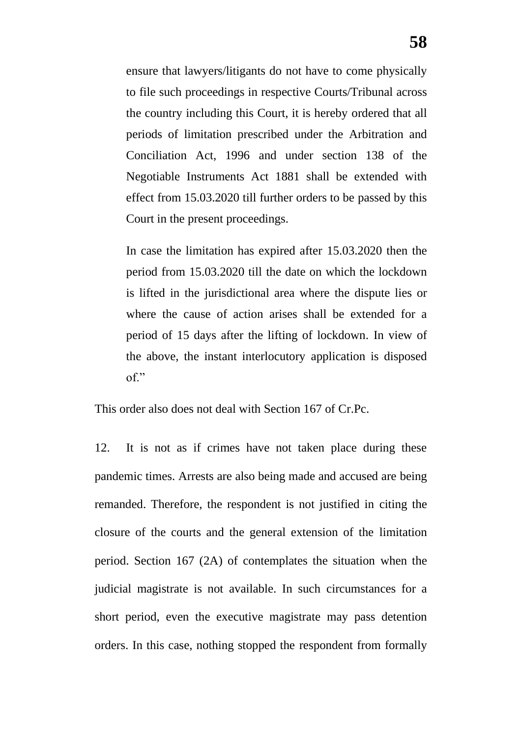ensure that lawyers/litigants do not have to come physically to file such proceedings in respective Courts/Tribunal across the country including this Court, it is hereby ordered that all periods of limitation prescribed under the Arbitration and Conciliation Act, 1996 and under section 138 of the Negotiable Instruments Act 1881 shall be extended with effect from 15.03.2020 till further orders to be passed by this Court in the present proceedings.

In case the limitation has expired after 15.03.2020 then the period from 15.03.2020 till the date on which the lockdown is lifted in the jurisdictional area where the dispute lies or where the cause of action arises shall be extended for a period of 15 days after the lifting of lockdown. In view of the above, the instant interlocutory application is disposed of."

This order also does not deal with Section 167 of Cr.Pc.

12. It is not as if crimes have not taken place during these pandemic times. Arrests are also being made and accused are being remanded. Therefore, the respondent is not justified in citing the closure of the courts and the general extension of the limitation period. Section 167 (2A) of contemplates the situation when the judicial magistrate is not available. In such circumstances for a short period, even the executive magistrate may pass detention orders. In this case, nothing stopped the respondent from formally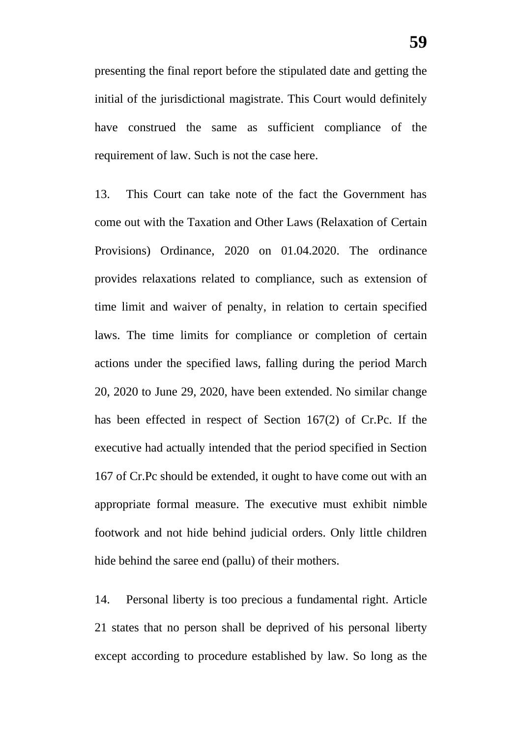presenting the final report before the stipulated date and getting the initial of the jurisdictional magistrate. This Court would definitely have construed the same as sufficient compliance of the requirement of law. Such is not the case here.

13. This Court can take note of the fact the Government has come out with the Taxation and Other Laws (Relaxation of Certain Provisions) Ordinance, 2020 on 01.04.2020. The ordinance provides relaxations related to compliance, such as extension of time limit and waiver of penalty, in relation to certain specified laws. The time limits for compliance or completion of certain actions under the specified laws, falling during the period March 20, 2020 to June 29, 2020, have been extended. No similar change has been effected in respect of Section 167(2) of Cr.Pc. If the executive had actually intended that the period specified in Section 167 of Cr.Pc should be extended, it ought to have come out with an appropriate formal measure. The executive must exhibit nimble footwork and not hide behind judicial orders. Only little children hide behind the saree end (pallu) of their mothers.

14. Personal liberty is too precious a fundamental right. Article 21 states that no person shall be deprived of his personal liberty except according to procedure established by law. So long as the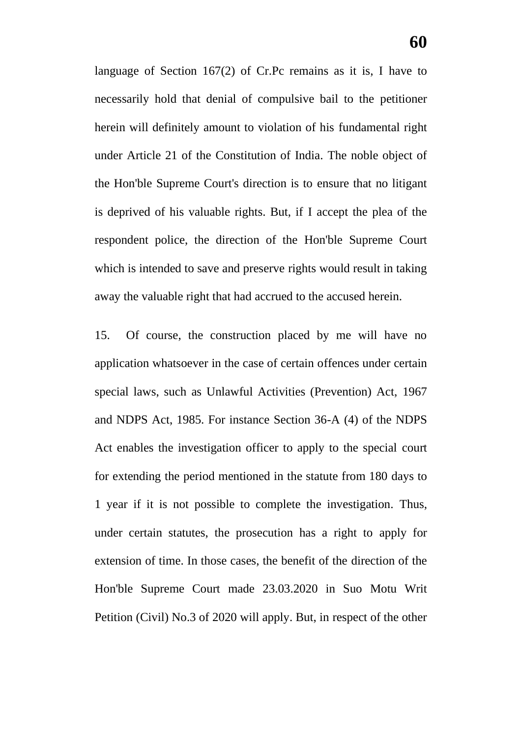language of Section 167(2) of Cr.Pc remains as it is, I have to necessarily hold that denial of compulsive bail to the petitioner herein will definitely amount to violation of his fundamental right under Article 21 of the Constitution of India. The noble object of the Hon'ble Supreme Court's direction is to ensure that no litigant is deprived of his valuable rights. But, if I accept the plea of the respondent police, the direction of the Hon'ble Supreme Court which is intended to save and preserve rights would result in taking away the valuable right that had accrued to the accused herein.

15. Of course, the construction placed by me will have no application whatsoever in the case of certain offences under certain special laws, such as Unlawful Activities (Prevention) Act, 1967 and NDPS Act, 1985. For instance Section 36-A (4) of the NDPS Act enables the investigation officer to apply to the special court for extending the period mentioned in the statute from 180 days to 1 year if it is not possible to complete the investigation. Thus, under certain statutes, the prosecution has a right to apply for extension of time. In those cases, the benefit of the direction of the Hon'ble Supreme Court made 23.03.2020 in Suo Motu Writ Petition (Civil) No.3 of 2020 will apply. But, in respect of the other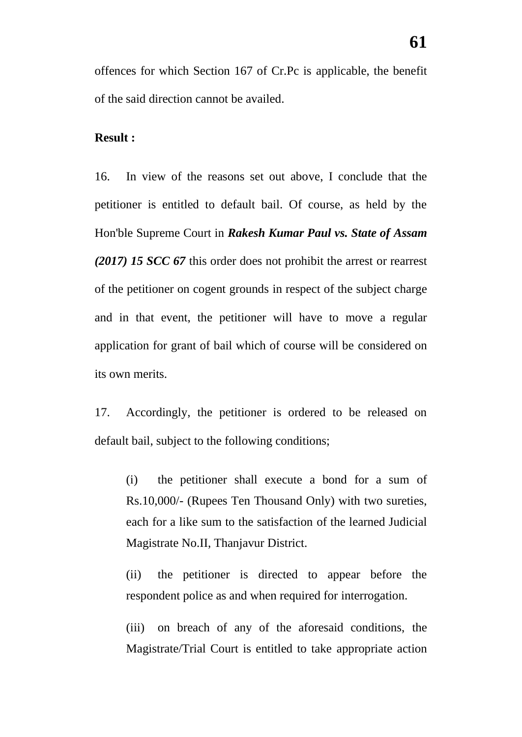offences for which Section 167 of Cr.Pc is applicable, the benefit of the said direction cannot be availed.

### **Result :**

16. In view of the reasons set out above, I conclude that the petitioner is entitled to default bail. Of course, as held by the Hon'ble Supreme Court in *Rakesh Kumar Paul vs. State of Assam (2017) 15 SCC 67* this order does not prohibit the arrest or rearrest of the petitioner on cogent grounds in respect of the subject charge and in that event, the petitioner will have to move a regular application for grant of bail which of course will be considered on its own merits.

17. Accordingly, the petitioner is ordered to be released on default bail, subject to the following conditions;

(i) the petitioner shall execute a bond for a sum of Rs.10,000/- (Rupees Ten Thousand Only) with two sureties, each for a like sum to the satisfaction of the learned Judicial Magistrate No.II, Thanjavur District.

(ii) the petitioner is directed to appear before the respondent police as and when required for interrogation.

(iii) on breach of any of the aforesaid conditions, the Magistrate/Trial Court is entitled to take appropriate action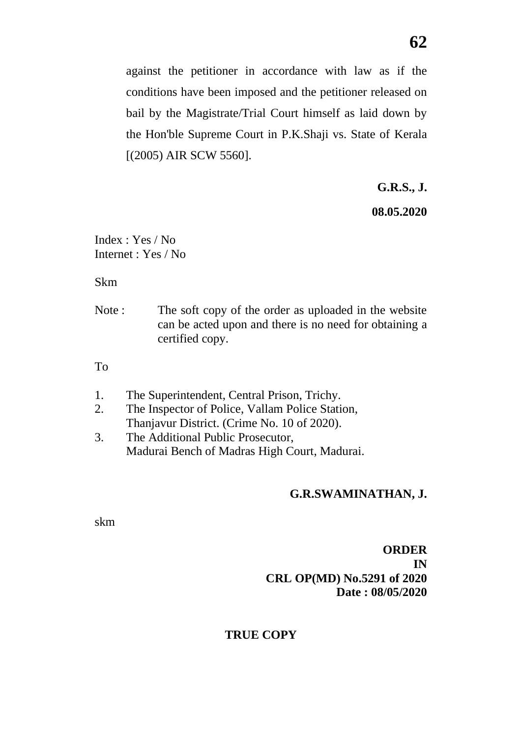against the petitioner in accordance with law as if the conditions have been imposed and the petitioner released on bail by the Magistrate/Trial Court himself as laid down by the Hon'ble Supreme Court in P.K.Shaji vs. State of Kerala [(2005) AIR SCW 5560].

**G.R.S., J.**

**08.05.2020**

Index : Yes / No Internet : Yes / No

Skm

Note : The soft copy of the order as uploaded in the website can be acted upon and there is no need for obtaining a certified copy.

To

- 1. The Superintendent, Central Prison, Trichy.
- 2. The Inspector of Police, Vallam Police Station, Thanjavur District. (Crime No. 10 of 2020).
- 3. The Additional Public Prosecutor, Madurai Bench of Madras High Court, Madurai.

### **G.R.SWAMINATHAN, J.**

skm

### **ORDER IN CRL OP(MD) No.5291 of 2020 Date : 08/05/2020**

### **TRUE COPY**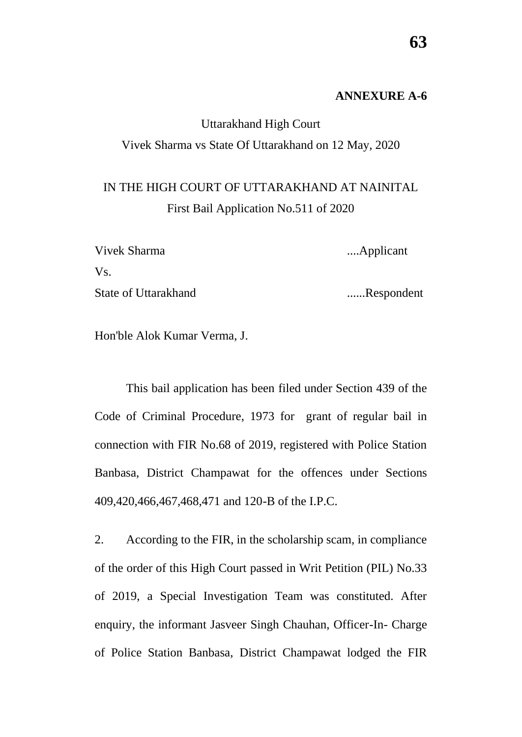### **ANNEXURE A-6**

### Uttarakhand High Court Vivek Sharma vs State Of Uttarakhand on 12 May, 2020

## IN THE HIGH COURT OF UTTARAKHAND AT NAINITAL First Bail Application No.511 of 2020

| Vivek Sharma         | Applicant  |
|----------------------|------------|
| Vs.                  |            |
| State of Uttarakhand | Respondent |

Hon'ble Alok Kumar Verma, J.

This bail application has been filed under Section 439 of the Code of Criminal Procedure, 1973 for grant of regular bail in connection with FIR No.68 of 2019, registered with Police Station Banbasa, District Champawat for the offences under Sections 409,420,466,467,468,471 and 120-B of the I.P.C.

2. According to the FIR, in the scholarship scam, in compliance of the order of this High Court passed in Writ Petition (PIL) No.33 of 2019, a Special Investigation Team was constituted. After enquiry, the informant Jasveer Singh Chauhan, Officer-In- Charge of Police Station Banbasa, District Champawat lodged the FIR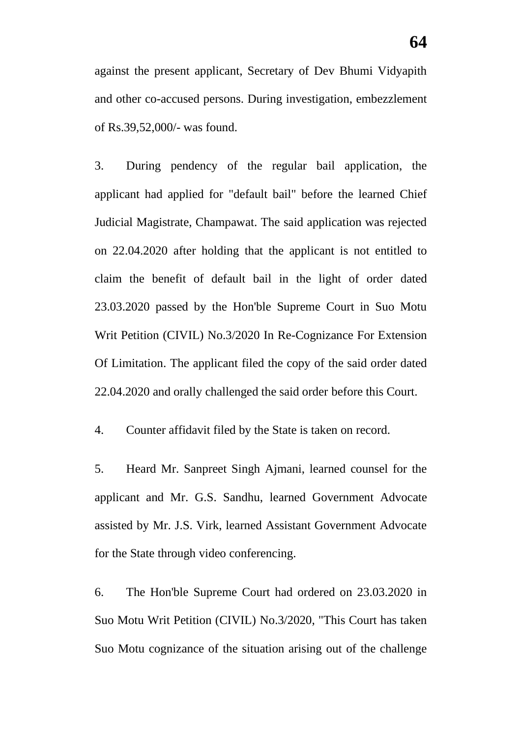against the present applicant, Secretary of Dev Bhumi Vidyapith and other co-accused persons. During investigation, embezzlement of Rs.39,52,000/- was found.

3. During pendency of the regular bail application, the applicant had applied for "default bail" before the learned Chief Judicial Magistrate, Champawat. The said application was rejected on 22.04.2020 after holding that the applicant is not entitled to claim the benefit of default bail in the light of order dated 23.03.2020 passed by the Hon'ble Supreme Court in Suo Motu Writ Petition (CIVIL) No.3/2020 In Re-Cognizance For Extension Of Limitation. The applicant filed the copy of the said order dated 22.04.2020 and orally challenged the said order before this Court.

4. Counter affidavit filed by the State is taken on record.

5. Heard Mr. Sanpreet Singh Ajmani, learned counsel for the applicant and Mr. G.S. Sandhu, learned Government Advocate assisted by Mr. J.S. Virk, learned Assistant Government Advocate for the State through video conferencing.

6. The Hon'ble Supreme Court had ordered on 23.03.2020 in Suo Motu Writ Petition (CIVIL) No.3/2020, "This Court has taken Suo Motu cognizance of the situation arising out of the challenge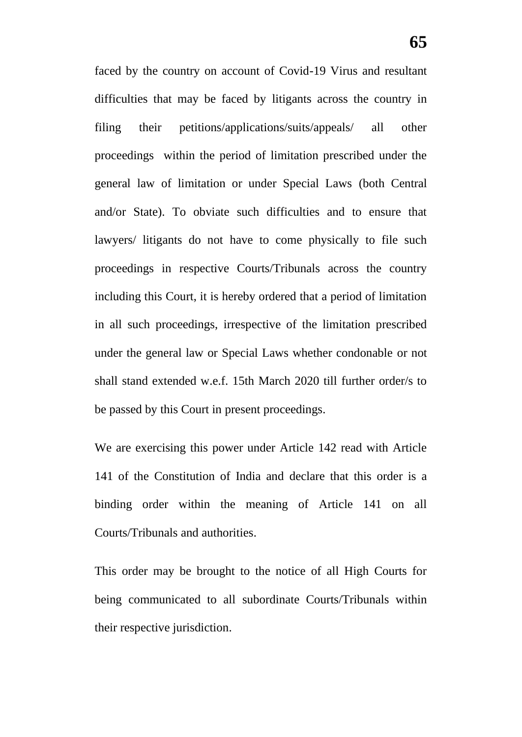faced by the country on account of Covid-19 Virus and resultant difficulties that may be faced by litigants across the country in filing their petitions/applications/suits/appeals/ all other proceedings within the period of limitation prescribed under the general law of limitation or under Special Laws (both Central and/or State). To obviate such difficulties and to ensure that lawyers/ litigants do not have to come physically to file such proceedings in respective Courts/Tribunals across the country including this Court, it is hereby ordered that a period of limitation in all such proceedings, irrespective of the limitation prescribed under the general law or Special Laws whether condonable or not shall stand extended w.e.f. 15th March 2020 till further order/s to be passed by this Court in present proceedings.

We are exercising this power under Article 142 read with Article 141 of the Constitution of India and declare that this order is a binding order within the meaning of Article 141 on all Courts/Tribunals and authorities.

This order may be brought to the notice of all High Courts for being communicated to all subordinate Courts/Tribunals within their respective jurisdiction.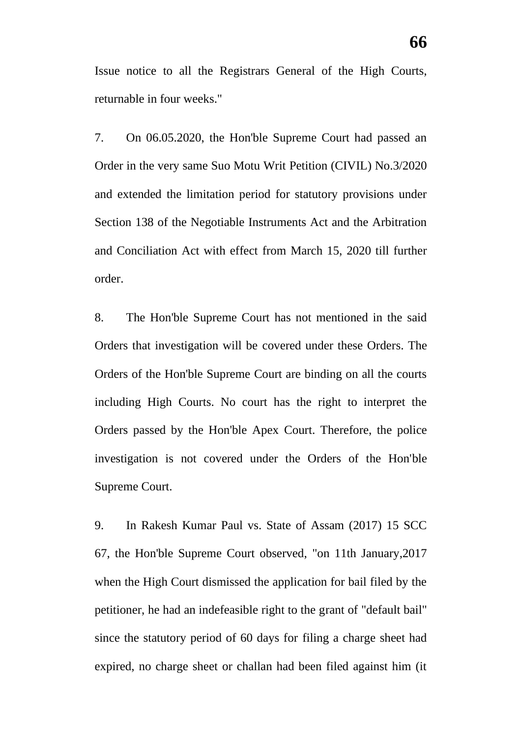Issue notice to all the Registrars General of the High Courts, returnable in four weeks."

7. On 06.05.2020, the Hon'ble Supreme Court had passed an Order in the very same Suo Motu Writ Petition (CIVIL) No.3/2020 and extended the limitation period for statutory provisions under Section 138 of the Negotiable Instruments Act and the Arbitration and Conciliation Act with effect from March 15, 2020 till further order.

8. The Hon'ble Supreme Court has not mentioned in the said Orders that investigation will be covered under these Orders. The Orders of the Hon'ble Supreme Court are binding on all the courts including High Courts. No court has the right to interpret the Orders passed by the Hon'ble Apex Court. Therefore, the police investigation is not covered under the Orders of the Hon'ble Supreme Court.

9. In Rakesh Kumar Paul vs. State of Assam (2017) 15 SCC 67, the Hon'ble Supreme Court observed, "on 11th January,2017 when the High Court dismissed the application for bail filed by the petitioner, he had an indefeasible right to the grant of "default bail" since the statutory period of 60 days for filing a charge sheet had expired, no charge sheet or challan had been filed against him (it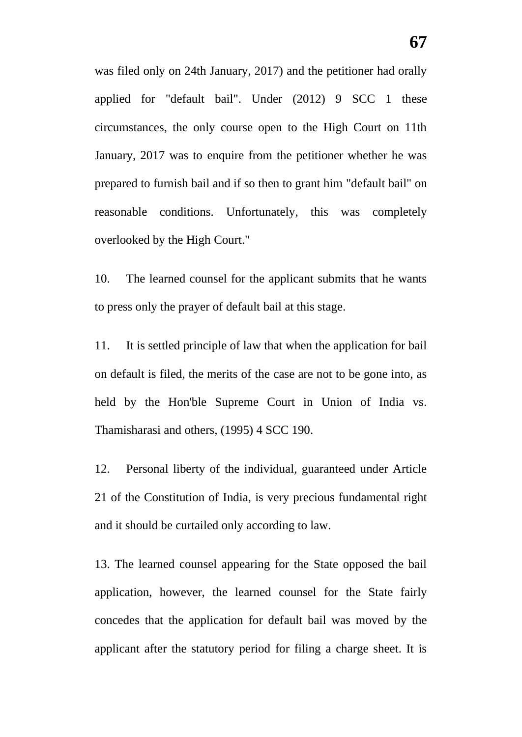was filed only on 24th January, 2017) and the petitioner had orally applied for "default bail". Under (2012) 9 SCC 1 these circumstances, the only course open to the High Court on 11th January, 2017 was to enquire from the petitioner whether he was prepared to furnish bail and if so then to grant him "default bail" on reasonable conditions. Unfortunately, this was completely overlooked by the High Court."

10. The learned counsel for the applicant submits that he wants to press only the prayer of default bail at this stage.

11. It is settled principle of law that when the application for bail on default is filed, the merits of the case are not to be gone into, as held by the Hon'ble Supreme Court in Union of India vs. Thamisharasi and others, (1995) 4 SCC 190.

12. Personal liberty of the individual, guaranteed under Article 21 of the Constitution of India, is very precious fundamental right and it should be curtailed only according to law.

13. The learned counsel appearing for the State opposed the bail application, however, the learned counsel for the State fairly concedes that the application for default bail was moved by the applicant after the statutory period for filing a charge sheet. It is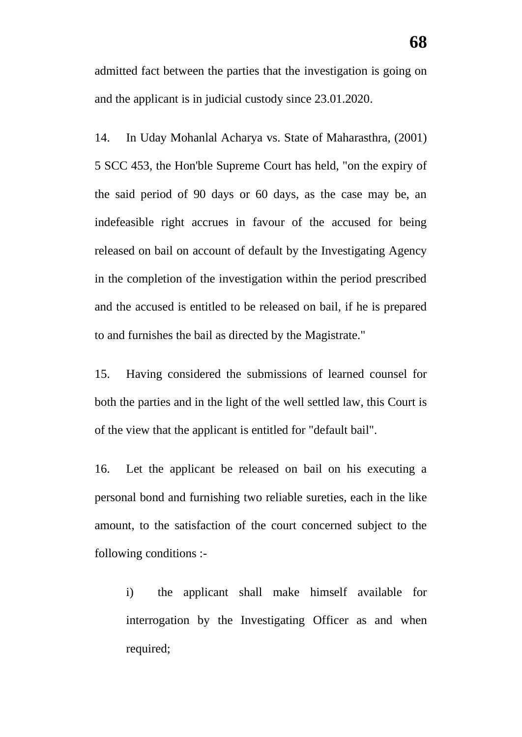admitted fact between the parties that the investigation is going on and the applicant is in judicial custody since 23.01.2020.

14. In Uday Mohanlal Acharya vs. State of Maharasthra, (2001) 5 SCC 453, the Hon'ble Supreme Court has held, "on the expiry of the said period of 90 days or 60 days, as the case may be, an indefeasible right accrues in favour of the accused for being released on bail on account of default by the Investigating Agency in the completion of the investigation within the period prescribed and the accused is entitled to be released on bail, if he is prepared to and furnishes the bail as directed by the Magistrate."

15. Having considered the submissions of learned counsel for both the parties and in the light of the well settled law, this Court is of the view that the applicant is entitled for "default bail".

16. Let the applicant be released on bail on his executing a personal bond and furnishing two reliable sureties, each in the like amount, to the satisfaction of the court concerned subject to the following conditions :-

i) the applicant shall make himself available for interrogation by the Investigating Officer as and when required;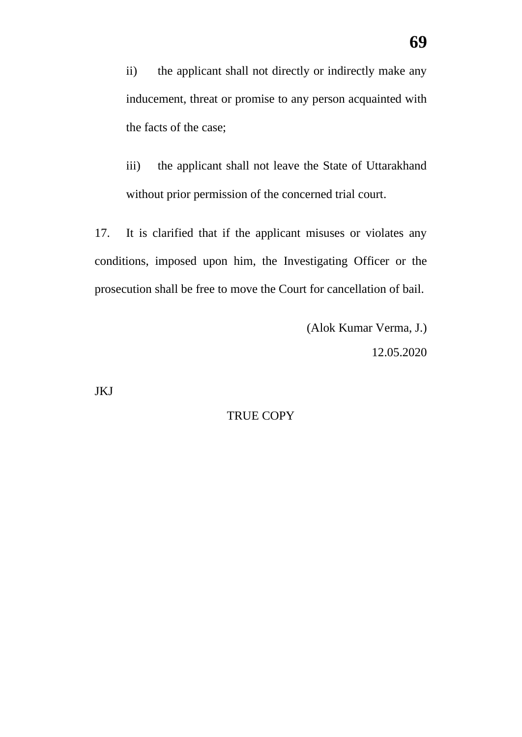ii) the applicant shall not directly or indirectly make any inducement, threat or promise to any person acquainted with the facts of the case;

iii) the applicant shall not leave the State of Uttarakhand without prior permission of the concerned trial court.

17. It is clarified that if the applicant misuses or violates any conditions, imposed upon him, the Investigating Officer or the prosecution shall be free to move the Court for cancellation of bail.

> (Alok Kumar Verma, J.) 12.05.2020

JKJ

## TRUE COPY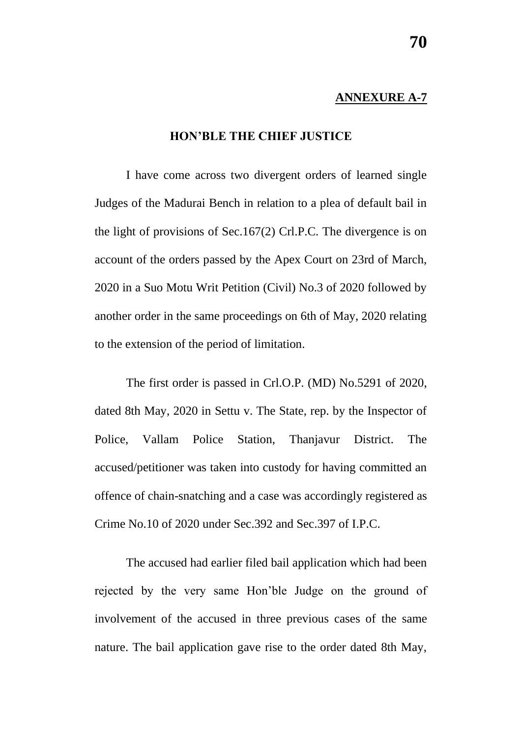### **ANNEXURE A-7**

## **HON'BLE THE CHIEF JUSTICE**

I have come across two divergent orders of learned single Judges of the Madurai Bench in relation to a plea of default bail in the light of provisions of Sec.167(2) Crl.P.C. The divergence is on account of the orders passed by the Apex Court on 23rd of March, 2020 in a Suo Motu Writ Petition (Civil) No.3 of 2020 followed by another order in the same proceedings on 6th of May, 2020 relating to the extension of the period of limitation.

The first order is passed in Crl.O.P. (MD) No.5291 of 2020, dated 8th May, 2020 in Settu v. The State, rep. by the Inspector of Police, Vallam Police Station, Thanjavur District. The accused/petitioner was taken into custody for having committed an offence of chain-snatching and a case was accordingly registered as Crime No.10 of 2020 under Sec.392 and Sec.397 of I.P.C.

The accused had earlier filed bail application which had been rejected by the very same Hon'ble Judge on the ground of involvement of the accused in three previous cases of the same nature. The bail application gave rise to the order dated 8th May,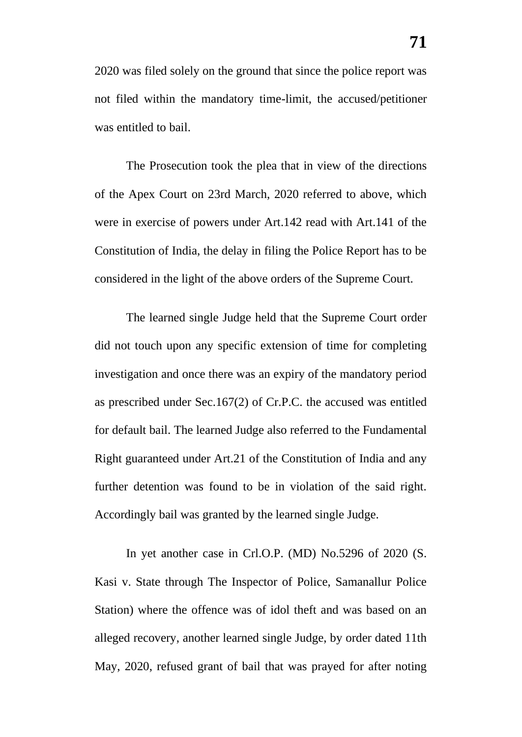2020 was filed solely on the ground that since the police report was not filed within the mandatory time-limit, the accused/petitioner was entitled to bail.

The Prosecution took the plea that in view of the directions of the Apex Court on 23rd March, 2020 referred to above, which were in exercise of powers under Art.142 read with Art.141 of the Constitution of India, the delay in filing the Police Report has to be considered in the light of the above orders of the Supreme Court.

The learned single Judge held that the Supreme Court order did not touch upon any specific extension of time for completing investigation and once there was an expiry of the mandatory period as prescribed under Sec.167(2) of Cr.P.C. the accused was entitled for default bail. The learned Judge also referred to the Fundamental Right guaranteed under Art.21 of the Constitution of India and any further detention was found to be in violation of the said right. Accordingly bail was granted by the learned single Judge.

In yet another case in Crl.O.P. (MD) No.5296 of 2020 (S. Kasi v. State through The Inspector of Police, Samanallur Police Station) where the offence was of idol theft and was based on an alleged recovery, another learned single Judge, by order dated 11th May, 2020, refused grant of bail that was prayed for after noting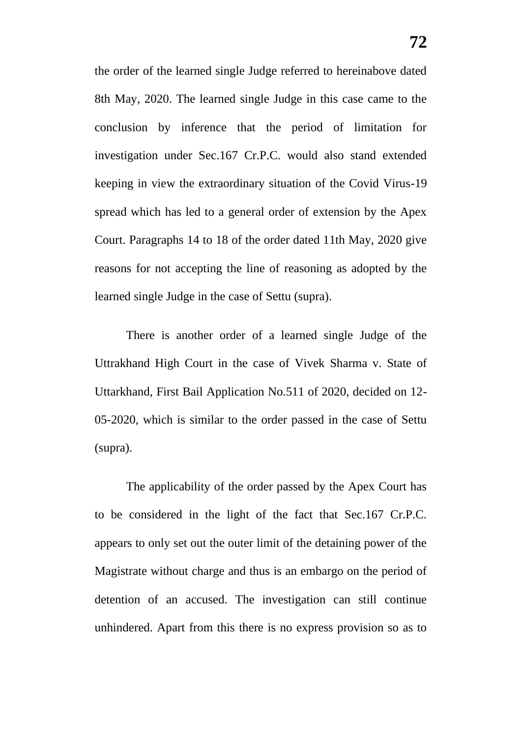the order of the learned single Judge referred to hereinabove dated 8th May, 2020. The learned single Judge in this case came to the conclusion by inference that the period of limitation for investigation under Sec.167 Cr.P.C. would also stand extended keeping in view the extraordinary situation of the Covid Virus-19 spread which has led to a general order of extension by the Apex Court. Paragraphs 14 to 18 of the order dated 11th May, 2020 give reasons for not accepting the line of reasoning as adopted by the learned single Judge in the case of Settu (supra).

There is another order of a learned single Judge of the Uttrakhand High Court in the case of Vivek Sharma v. State of Uttarkhand, First Bail Application No.511 of 2020, decided on 12- 05-2020, which is similar to the order passed in the case of Settu (supra).

The applicability of the order passed by the Apex Court has to be considered in the light of the fact that Sec.167 Cr.P.C. appears to only set out the outer limit of the detaining power of the Magistrate without charge and thus is an embargo on the period of detention of an accused. The investigation can still continue unhindered. Apart from this there is no express provision so as to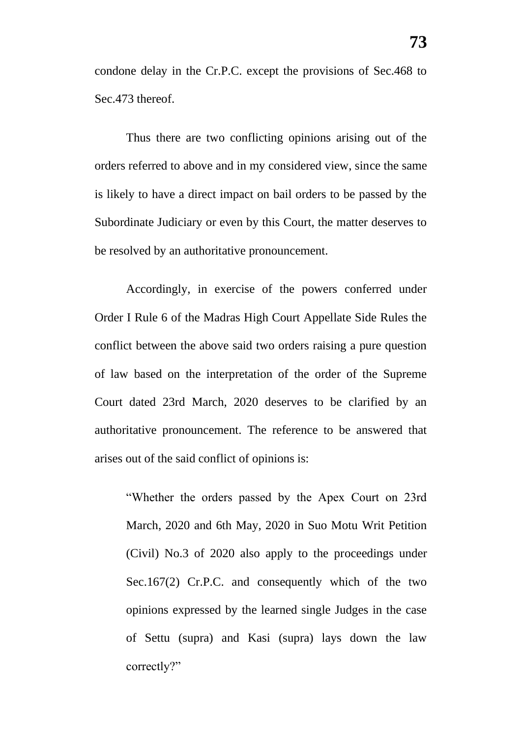condone delay in the Cr.P.C. except the provisions of Sec.468 to Sec.473 thereof.

Thus there are two conflicting opinions arising out of the orders referred to above and in my considered view, since the same is likely to have a direct impact on bail orders to be passed by the Subordinate Judiciary or even by this Court, the matter deserves to be resolved by an authoritative pronouncement.

Accordingly, in exercise of the powers conferred under Order I Rule 6 of the Madras High Court Appellate Side Rules the conflict between the above said two orders raising a pure question of law based on the interpretation of the order of the Supreme Court dated 23rd March, 2020 deserves to be clarified by an authoritative pronouncement. The reference to be answered that arises out of the said conflict of opinions is:

"Whether the orders passed by the Apex Court on 23rd March, 2020 and 6th May, 2020 in Suo Motu Writ Petition (Civil) No.3 of 2020 also apply to the proceedings under Sec.167(2) Cr.P.C. and consequently which of the two opinions expressed by the learned single Judges in the case of Settu (supra) and Kasi (supra) lays down the law correctly?"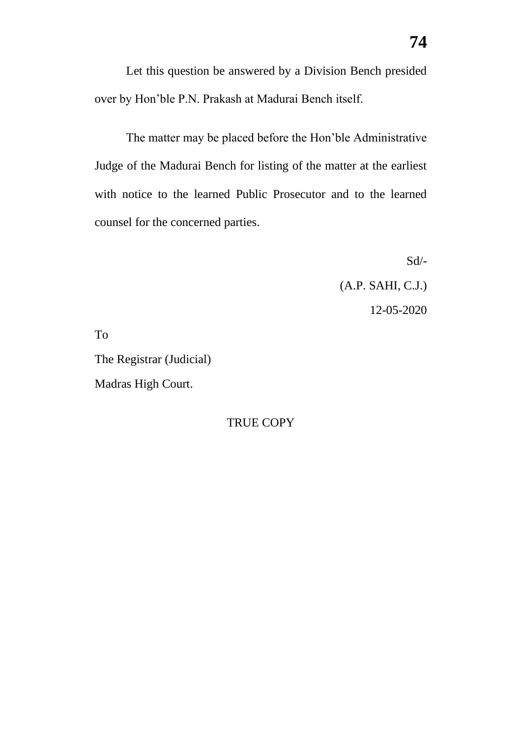Let this question be answered by a Division Bench presided over by Hon'ble P.N. Prakash at Madurai Bench itself.

The matter may be placed before the Hon'ble Administrative Judge of the Madurai Bench for listing of the matter at the earliest with notice to the learned Public Prosecutor and to the learned counsel for the concerned parties.

> Sd/- (A.P. SAHI, C.J.) 12-05-2020

To

The Registrar (Judicial) Madras High Court.

TRUE COPY